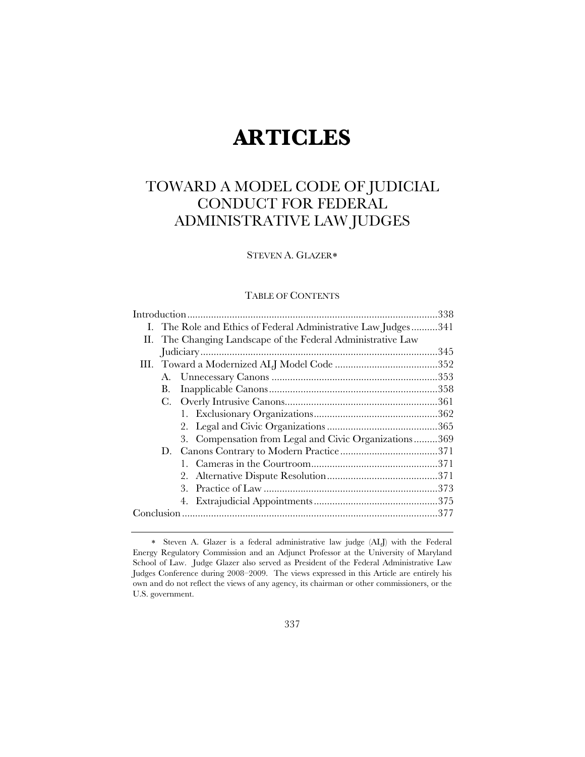# **ARTICLES**

# TOWARD A MODEL CODE OF JUDICIAL CONDUCT FOR FEDERAL ADMINISTRATIVE LAW JUDGES

# STEVEN A. GLAZER

# TABLE OF CONTENTS

|  |  | I. The Role and Ethics of Federal Administrative Law Judges  341 |  |
|--|--|------------------------------------------------------------------|--|
|  |  | II. The Changing Landscape of the Federal Administrative Law     |  |
|  |  |                                                                  |  |
|  |  |                                                                  |  |
|  |  |                                                                  |  |
|  |  |                                                                  |  |
|  |  |                                                                  |  |
|  |  |                                                                  |  |
|  |  |                                                                  |  |
|  |  | 3. Compensation from Legal and Civic Organizations369            |  |
|  |  |                                                                  |  |
|  |  |                                                                  |  |
|  |  |                                                                  |  |
|  |  |                                                                  |  |
|  |  |                                                                  |  |
|  |  |                                                                  |  |

Steven A. Glazer is a federal administrative law judge (ALJ) with the Federal Energy Regulatory Commission and an Adjunct Professor at the University of Maryland School of Law. Judge Glazer also served as President of the Federal Administrative Law Judges Conference during 2008–2009. The views expressed in this Article are entirely his own and do not reflect the views of any agency, its chairman or other commissioners, or the U.S. government.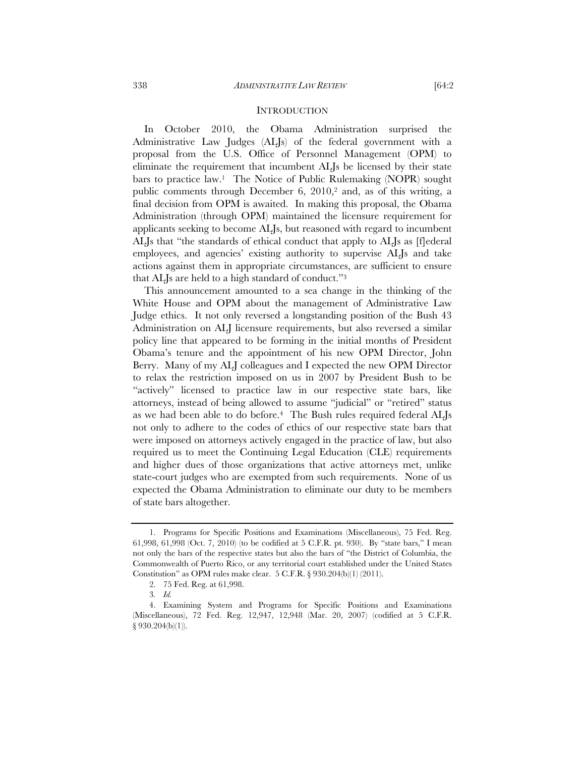### **INTRODUCTION**

In October 2010, the Obama Administration surprised the Administrative Law Judges (ALJs) of the federal government with a proposal from the U.S. Office of Personnel Management (OPM) to eliminate the requirement that incumbent ALJs be licensed by their state bars to practice law.1 The Notice of Public Rulemaking (NOPR) sought public comments through December 6, 2010,<sup>2</sup> and, as of this writing, a final decision from OPM is awaited. In making this proposal, the Obama Administration (through OPM) maintained the licensure requirement for applicants seeking to become ALJs, but reasoned with regard to incumbent ALJs that "the standards of ethical conduct that apply to ALJs as [f]ederal employees, and agencies' existing authority to supervise ALJs and take actions against them in appropriate circumstances, are sufficient to ensure that ALJs are held to a high standard of conduct."3

This announcement amounted to a sea change in the thinking of the White House and OPM about the management of Administrative Law Judge ethics. It not only reversed a longstanding position of the Bush 43 Administration on ALJ licensure requirements, but also reversed a similar policy line that appeared to be forming in the initial months of President Obama's tenure and the appointment of his new OPM Director, John Berry. Many of my ALJ colleagues and I expected the new OPM Director to relax the restriction imposed on us in 2007 by President Bush to be "actively" licensed to practice law in our respective state bars, like attorneys, instead of being allowed to assume "judicial" or "retired" status as we had been able to do before.4 The Bush rules required federal ALJs not only to adhere to the codes of ethics of our respective state bars that were imposed on attorneys actively engaged in the practice of law, but also required us to meet the Continuing Legal Education (CLE) requirements and higher dues of those organizations that active attorneys met, unlike state-court judges who are exempted from such requirements. None of us expected the Obama Administration to eliminate our duty to be members of state bars altogether.

 <sup>1.</sup> Programs for Specific Positions and Examinations (Miscellaneous), 75 Fed. Reg. 61,998, 61,998 (Oct. 7, 2010) (to be codified at 5 C.F.R. pt. 930). By "state bars," I mean not only the bars of the respective states but also the bars of "the District of Columbia, the Commonwealth of Puerto Rico, or any territorial court established under the United States Constitution" as OPM rules make clear. 5 C.F.R. § 930.204(b)(1) (2011).

 <sup>2. 75</sup> Fed. Reg. at 61,998.

<sup>3</sup>*. Id.*

 <sup>4.</sup> Examining System and Programs for Specific Positions and Examinations (Miscellaneous), 72 Fed. Reg. 12,947, 12,948 (Mar. 20, 2007) (codified at 5 C.F.R. § 930.204(b)(1)).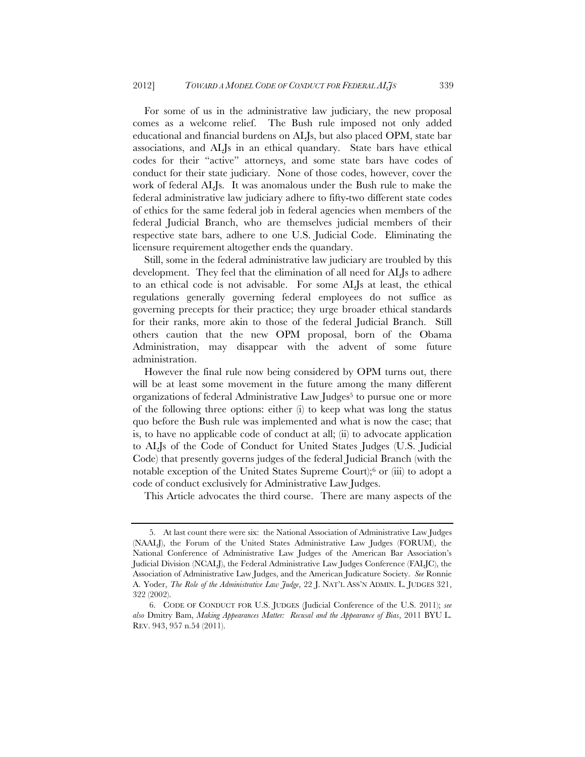For some of us in the administrative law judiciary, the new proposal comes as a welcome relief. The Bush rule imposed not only added educational and financial burdens on ALJs, but also placed OPM, state bar associations, and ALJs in an ethical quandary. State bars have ethical codes for their "active" attorneys, and some state bars have codes of conduct for their state judiciary. None of those codes, however, cover the work of federal ALJs. It was anomalous under the Bush rule to make the federal administrative law judiciary adhere to fifty-two different state codes of ethics for the same federal job in federal agencies when members of the federal Judicial Branch, who are themselves judicial members of their respective state bars, adhere to one U.S. Judicial Code. Eliminating the licensure requirement altogether ends the quandary.

Still, some in the federal administrative law judiciary are troubled by this development. They feel that the elimination of all need for ALJs to adhere to an ethical code is not advisable. For some ALJs at least, the ethical regulations generally governing federal employees do not suffice as governing precepts for their practice; they urge broader ethical standards for their ranks, more akin to those of the federal Judicial Branch. Still others caution that the new OPM proposal, born of the Obama Administration, may disappear with the advent of some future administration.

However the final rule now being considered by OPM turns out, there will be at least some movement in the future among the many different organizations of federal Administrative Law Judges<sup>5</sup> to pursue one or more of the following three options: either (i) to keep what was long the status quo before the Bush rule was implemented and what is now the case; that is, to have no applicable code of conduct at all; (ii) to advocate application to ALJs of the Code of Conduct for United States Judges (U.S. Judicial Code) that presently governs judges of the federal Judicial Branch (with the notable exception of the United States Supreme Court);6 or (iii) to adopt a code of conduct exclusively for Administrative Law Judges.

This Article advocates the third course. There are many aspects of the

 <sup>5.</sup> At last count there were six: the National Association of Administrative Law Judges (NAALJ), the Forum of the United States Administrative Law Judges (FORUM), the National Conference of Administrative Law Judges of the American Bar Association's Judicial Division (NCALJ), the Federal Administrative Law Judges Conference (FALJC), the Association of Administrative Law Judges, and the American Judicature Society. *See* Ronnie A. Yoder, *The Role of the Administrative Law Judge*, 22 J. NAT'L ASS'N ADMIN. L. JUDGES 321, 322 (2002).

 <sup>6.</sup> CODE OF CONDUCT FOR U.S. JUDGES (Judicial Conference of the U.S. 2011); *see also* Dmitry Bam, *Making Appearances Matter: Recusal and the Appearance of Bias*, 2011 BYU L. REV. 943, 957 n.54 (2011).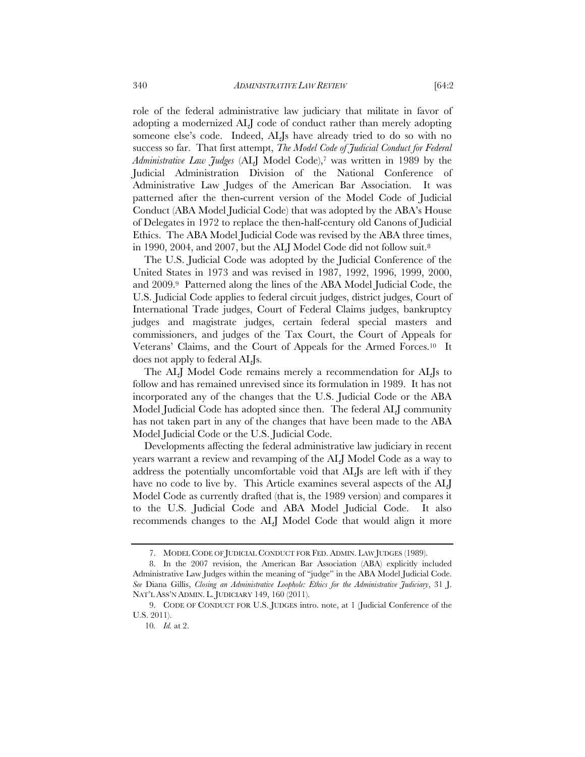role of the federal administrative law judiciary that militate in favor of adopting a modernized ALJ code of conduct rather than merely adopting someone else's code. Indeed, ALJs have already tried to do so with no success so far. That first attempt, *The Model Code of Judicial Conduct for Federal Administrative Law Judges* (ALJ Model Code),7 was written in 1989 by the Judicial Administration Division of the National Conference of Administrative Law Judges of the American Bar Association. It was patterned after the then-current version of the Model Code of Judicial Conduct (ABA Model Judicial Code) that was adopted by the ABA's House of Delegates in 1972 to replace the then-half-century old Canons of Judicial Ethics. The ABA Model Judicial Code was revised by the ABA three times, in 1990, 2004, and 2007, but the ALJ Model Code did not follow suit.8

The U.S. Judicial Code was adopted by the Judicial Conference of the United States in 1973 and was revised in 1987, 1992, 1996, 1999, 2000, and 2009.9 Patterned along the lines of the ABA Model Judicial Code, the U.S. Judicial Code applies to federal circuit judges, district judges, Court of International Trade judges, Court of Federal Claims judges, bankruptcy judges and magistrate judges, certain federal special masters and commissioners, and judges of the Tax Court, the Court of Appeals for Veterans' Claims, and the Court of Appeals for the Armed Forces.10 It does not apply to federal ALJs.

The ALJ Model Code remains merely a recommendation for ALJs to follow and has remained unrevised since its formulation in 1989. It has not incorporated any of the changes that the U.S. Judicial Code or the ABA Model Judicial Code has adopted since then. The federal ALJ community has not taken part in any of the changes that have been made to the ABA Model Judicial Code or the U.S. Judicial Code.

Developments affecting the federal administrative law judiciary in recent years warrant a review and revamping of the ALJ Model Code as a way to address the potentially uncomfortable void that ALJs are left with if they have no code to live by. This Article examines several aspects of the ALJ Model Code as currently drafted (that is, the 1989 version) and compares it to the U.S. Judicial Code and ABA Model Judicial Code. It also recommends changes to the ALJ Model Code that would align it more

 <sup>7.</sup> MODEL CODE OF JUDICIAL CONDUCT FOR FED. ADMIN. LAW JUDGES (1989).

 <sup>8.</sup> In the 2007 revision, the American Bar Association (ABA) explicitly included Administrative Law Judges within the meaning of "judge" in the ABA Model Judicial Code. *See* Diana Gillis, *Closing an Administrative Loophole: Ethics for the Administrative Judiciary*, 31 J. NAT'L ASS'N ADMIN. L. JUDICIARY 149, 160 (2011).

 <sup>9.</sup> CODE OF CONDUCT FOR U.S. JUDGES intro. note, at 1 (Judicial Conference of the U.S. 2011).

<sup>10</sup>*. Id.* at 2.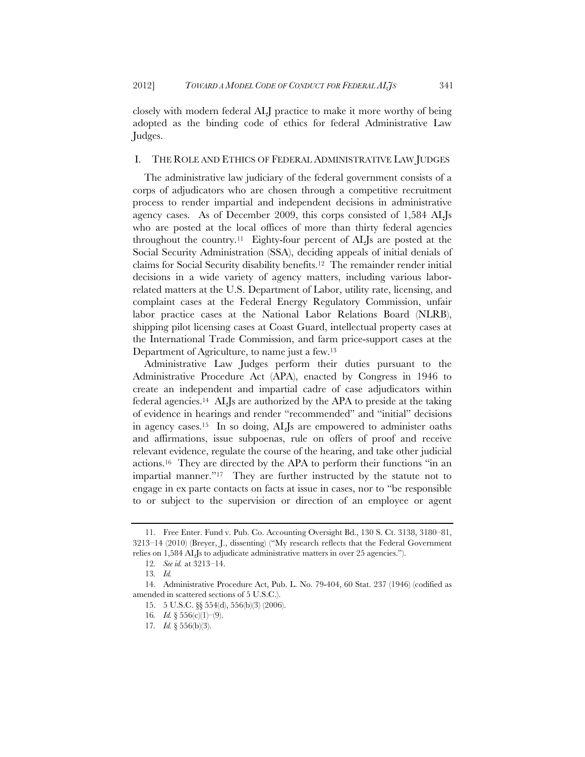closely with modern federal ALJ practice to make it more worthy of being adopted as the binding code of ethics for federal Administrative Law Judges.

# I. THE ROLE AND ETHICS OF FEDERAL ADMINISTRATIVE LAW JUDGES

The administrative law judiciary of the federal government consists of a corps of adjudicators who are chosen through a competitive recruitment process to render impartial and independent decisions in administrative agency cases. As of December 2009, this corps consisted of 1,584 ALJs who are posted at the local offices of more than thirty federal agencies throughout the country.11Eighty-four percent of ALJs are posted at the Social Security Administration (SSA), deciding appeals of initial denials of claims for Social Security disability benefits.12 The remainder render initial decisions in a wide variety of agency matters, including various laborrelated matters at the U.S. Department of Labor, utility rate, licensing, and complaint cases at the Federal Energy Regulatory Commission, unfair labor practice cases at the National Labor Relations Board (NLRB), shipping pilot licensing cases at Coast Guard, intellectual property cases at the International Trade Commission, and farm price-support cases at the Department of Agriculture, to name just a few.13

Administrative Law Judges perform their duties pursuant to the Administrative Procedure Act (APA), enacted by Congress in 1946 to create an independent and impartial cadre of case adjudicators within federal agencies.14 ALJs are authorized by the APA to preside at the taking of evidence in hearings and render "recommended" and "initial" decisions in agency cases.15 In so doing, ALJs are empowered to administer oaths and affirmations, issue subpoenas, rule on offers of proof and receive relevant evidence, regulate the course of the hearing, and take other judicial actions.16 They are directed by the APA to perform their functions "in an impartial manner."17 They are further instructed by the statute not to engage in ex parte contacts on facts at issue in cases, nor to "be responsible to or subject to the supervision or direction of an employee or agent

 <sup>11.</sup> Free Enter. Fund v. Pub. Co. Accounting Oversight Bd., 130 S. Ct. 3138, 3180–81, 3213–14 (2010) (Breyer, J., dissenting) ("My research reflects that the Federal Government relies on 1,584 ALJs to adjudicate administrative matters in over 25 agencies.").

<sup>12</sup>*. See id.* at 3213–14.

<sup>13</sup>*. Id.*

 <sup>14.</sup> Administrative Procedure Act, Pub. L. No. 79-404, 60 Stat. 237 (1946) (codified as amended in scattered sections of 5 U.S.C.).

 <sup>15. 5</sup> U.S.C. §§ 554(d), 556(b)(3) (2006).

<sup>16</sup>*. Id.* § 556(c)(1)–(9).

<sup>17</sup>*. Id.* § 556(b)(3).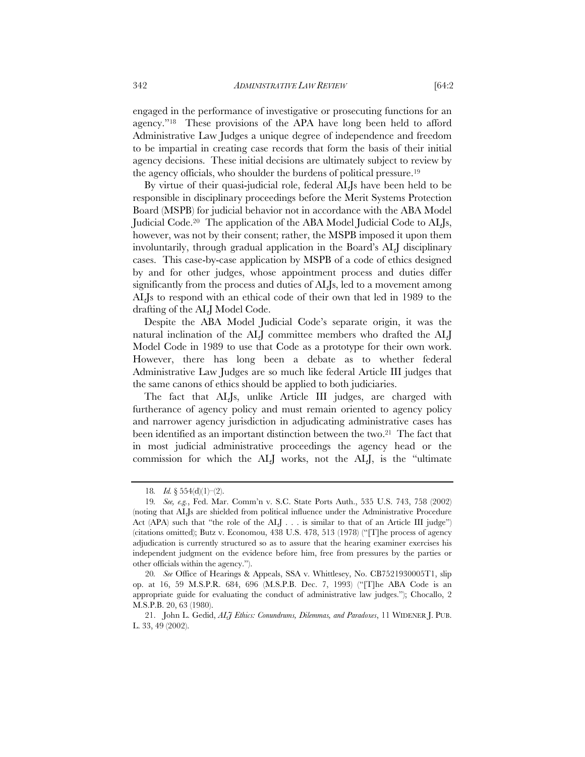engaged in the performance of investigative or prosecuting functions for an agency."18 These provisions of the APA have long been held to afford Administrative Law Judges a unique degree of independence and freedom to be impartial in creating case records that form the basis of their initial agency decisions. These initial decisions are ultimately subject to review by the agency officials, who shoulder the burdens of political pressure.19

By virtue of their quasi-judicial role, federal ALJs have been held to be responsible in disciplinary proceedings before the Merit Systems Protection Board (MSPB) for judicial behavior not in accordance with the ABA Model Judicial Code.20 The application of the ABA Model Judicial Code to ALJs, however, was not by their consent; rather, the MSPB imposed it upon them involuntarily, through gradual application in the Board's ALJ disciplinary cases. This case-by-case application by MSPB of a code of ethics designed by and for other judges, whose appointment process and duties differ significantly from the process and duties of ALJs, led to a movement among ALJs to respond with an ethical code of their own that led in 1989 to the drafting of the ALJ Model Code.

Despite the ABA Model Judicial Code's separate origin, it was the natural inclination of the ALJ committee members who drafted the ALJ Model Code in 1989 to use that Code as a prototype for their own work. However, there has long been a debate as to whether federal Administrative Law Judges are so much like federal Article III judges that the same canons of ethics should be applied to both judiciaries.

The fact that ALJs, unlike Article III judges, are charged with furtherance of agency policy and must remain oriented to agency policy and narrower agency jurisdiction in adjudicating administrative cases has been identified as an important distinction between the two.21 The fact that in most judicial administrative proceedings the agency head or the commission for which the ALJ works, not the ALJ, is the "ultimate

<sup>18.</sup> *Id.* § 554(d)(1)–(2).

<sup>19</sup>*. See, e.g.*, Fed. Mar. Comm'n v. S.C. State Ports Auth., 535 U.S. 743, 758 (2002) (noting that ALJs are shielded from political influence under the Administrative Procedure Act (APA) such that "the role of the ALI  $\ldots$  is similar to that of an Article III judge") (citations omitted); Butz v. Economou, 438 U.S. 478, 513 (1978) ("[T]he process of agency adjudication is currently structured so as to assure that the hearing examiner exercises his independent judgment on the evidence before him, free from pressures by the parties or other officials within the agency.").

<sup>20</sup>*. See* Office of Hearings & Appeals, SSA v. Whittlesey, No. CB7521930005T1, slip op. at 16, 59 M.S.P.R. 684, 696 (M.S.P.B. Dec. 7, 1993) ("[T]he ABA Code is an appropriate guide for evaluating the conduct of administrative law judges."); Chocallo, 2 M.S.P.B. 20, 63 (1980).

 <sup>21.</sup> John L. Gedid, *ALJ Ethics: Conundrums, Dilemmas, and Paradoxes*, 11 WIDENER J. PUB. L. 33, 49 (2002).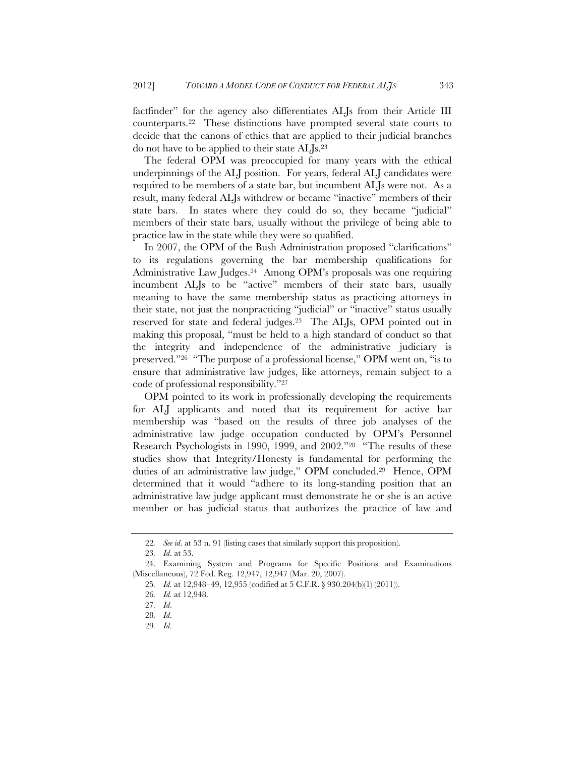factfinder" for the agency also differentiates ALJs from their Article III counterparts.22 These distinctions have prompted several state courts to decide that the canons of ethics that are applied to their judicial branches do not have to be applied to their state ALJs.23

The federal OPM was preoccupied for many years with the ethical underpinnings of the ALJ position. For years, federal ALJ candidates were required to be members of a state bar, but incumbent ALJs were not. As a result, many federal ALJs withdrew or became "inactive" members of their state bars. In states where they could do so, they became "judicial" members of their state bars, usually without the privilege of being able to practice law in the state while they were so qualified.

In 2007, the OPM of the Bush Administration proposed "clarifications" to its regulations governing the bar membership qualifications for Administrative Law Judges.24 Among OPM's proposals was one requiring incumbent ALJs to be "active" members of their state bars, usually meaning to have the same membership status as practicing attorneys in their state, not just the nonpracticing "judicial" or "inactive" status usually reserved for state and federal judges.25 The ALJs, OPM pointed out in making this proposal, "must be held to a high standard of conduct so that the integrity and independence of the administrative judiciary is preserved."26 "The purpose of a professional license," OPM went on, "is to ensure that administrative law judges, like attorneys, remain subject to a code of professional responsibility."27

OPM pointed to its work in professionally developing the requirements for ALJ applicants and noted that its requirement for active bar membership was "based on the results of three job analyses of the administrative law judge occupation conducted by OPM's Personnel Research Psychologists in 1990, 1999, and 2002."28 "The results of these studies show that Integrity/Honesty is fundamental for performing the duties of an administrative law judge," OPM concluded.29 Hence, OPM determined that it would "adhere to its long-standing position that an administrative law judge applicant must demonstrate he or she is an active member or has judicial status that authorizes the practice of law and

<sup>22</sup>*. See id*. at 53 n. 91 (listing cases that similarly support this proposition).

<sup>23</sup>*. Id*. at 53.

 <sup>24.</sup> Examining System and Programs for Specific Positions and Examinations (Miscellaneous), 72 Fed. Reg. 12,947, 12,947 (Mar. 20, 2007).

<sup>25</sup>*. Id.* at 12,948–49, 12,955 (codified at 5 C.F.R. § 930.204(b)(1) (2011)).

<sup>26</sup>*. Id.* at 12,948.

<sup>27</sup>*. Id*.

<sup>28</sup>*. Id*.

<sup>29</sup>*. Id*.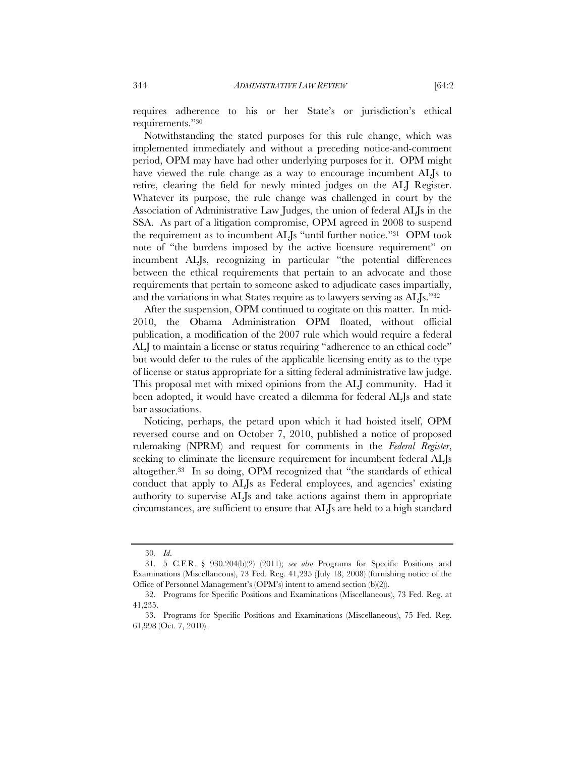requires adherence to his or her State's or jurisdiction's ethical requirements."30

Notwithstanding the stated purposes for this rule change, which was implemented immediately and without a preceding notice-and-comment period, OPM may have had other underlying purposes for it. OPM might have viewed the rule change as a way to encourage incumbent ALJs to retire, clearing the field for newly minted judges on the ALJ Register. Whatever its purpose, the rule change was challenged in court by the Association of Administrative Law Judges, the union of federal ALJs in the SSA. As part of a litigation compromise, OPM agreed in 2008 to suspend the requirement as to incumbent ALJs "until further notice."31 OPM took note of "the burdens imposed by the active licensure requirement" on incumbent ALJs, recognizing in particular "the potential differences between the ethical requirements that pertain to an advocate and those requirements that pertain to someone asked to adjudicate cases impartially, and the variations in what States require as to lawyers serving as ALJs."32

After the suspension, OPM continued to cogitate on this matter. In mid-2010, the Obama Administration OPM floated, without official publication, a modification of the 2007 rule which would require a federal ALJ to maintain a license or status requiring "adherence to an ethical code" but would defer to the rules of the applicable licensing entity as to the type of license or status appropriate for a sitting federal administrative law judge. This proposal met with mixed opinions from the ALJ community. Had it been adopted, it would have created a dilemma for federal ALJs and state bar associations.

Noticing, perhaps, the petard upon which it had hoisted itself, OPM reversed course and on October 7, 2010, published a notice of proposed rulemaking (NPRM) and request for comments in the *Federal Register*, seeking to eliminate the licensure requirement for incumbent federal ALJs altogether.33 In so doing, OPM recognized that "the standards of ethical conduct that apply to ALJs as Federal employees, and agencies' existing authority to supervise ALJs and take actions against them in appropriate circumstances, are sufficient to ensure that ALJs are held to a high standard

<sup>30</sup>*. Id*.

 <sup>31. 5</sup> C.F.R. § 930.204(b)(2) (2011); *see also* Programs for Specific Positions and Examinations (Miscellaneous), 73 Fed. Reg. 41,235 (July 18, 2008) (furnishing notice of the Office of Personnel Management's (OPM's) intent to amend section (b)(2)).

 <sup>32.</sup> Programs for Specific Positions and Examinations (Miscellaneous), 73 Fed. Reg. at 41,235.

 <sup>33.</sup> Programs for Specific Positions and Examinations (Miscellaneous), 75 Fed. Reg. 61,998 (Oct. 7, 2010).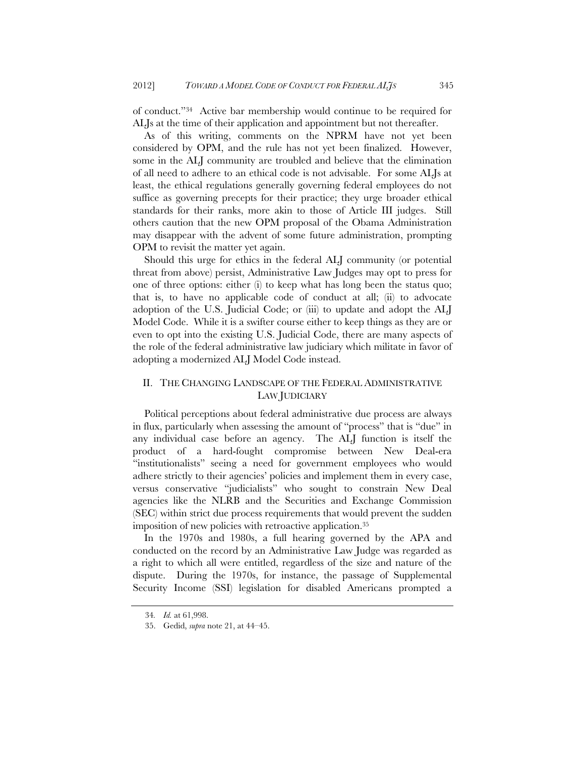of conduct."34 Active bar membership would continue to be required for ALJs at the time of their application and appointment but not thereafter.

As of this writing, comments on the NPRM have not yet been considered by OPM, and the rule has not yet been finalized. However, some in the ALJ community are troubled and believe that the elimination of all need to adhere to an ethical code is not advisable. For some ALJs at least, the ethical regulations generally governing federal employees do not suffice as governing precepts for their practice; they urge broader ethical standards for their ranks, more akin to those of Article III judges. Still others caution that the new OPM proposal of the Obama Administration may disappear with the advent of some future administration, prompting OPM to revisit the matter yet again.

Should this urge for ethics in the federal ALJ community (or potential threat from above) persist, Administrative Law Judges may opt to press for one of three options: either (i) to keep what has long been the status quo; that is, to have no applicable code of conduct at all; (ii) to advocate adoption of the U.S. Judicial Code; or (iii) to update and adopt the ALJ Model Code. While it is a swifter course either to keep things as they are or even to opt into the existing U.S. Judicial Code, there are many aspects of the role of the federal administrative law judiciary which militate in favor of adopting a modernized ALJ Model Code instead.

# II. THE CHANGING LANDSCAPE OF THE FEDERAL ADMINISTRATIVE LAW JUDICIARY

Political perceptions about federal administrative due process are always in flux, particularly when assessing the amount of "process" that is "due" in any individual case before an agency. The ALJ function is itself the product of a hard-fought compromise between New Deal-era "institutionalists" seeing a need for government employees who would adhere strictly to their agencies' policies and implement them in every case, versus conservative "judicialists" who sought to constrain New Deal agencies like the NLRB and the Securities and Exchange Commission (SEC) within strict due process requirements that would prevent the sudden imposition of new policies with retroactive application.35

In the 1970s and 1980s, a full hearing governed by the APA and conducted on the record by an Administrative Law Judge was regarded as a right to which all were entitled, regardless of the size and nature of the dispute. During the 1970s, for instance, the passage of Supplemental Security Income (SSI) legislation for disabled Americans prompted a

<sup>34</sup>*. Id.* at 61,998.

 <sup>35.</sup> Gedid, *supra* note 21, at 44–45.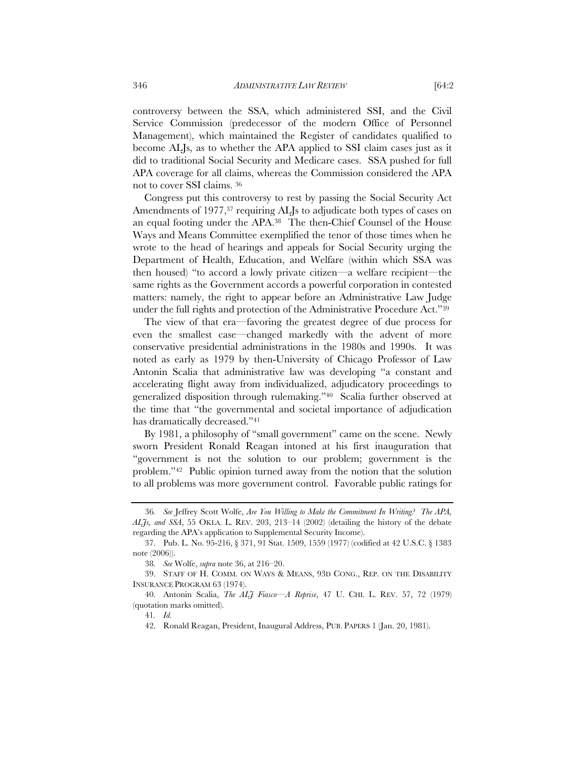controversy between the SSA, which administered SSI, and the Civil Service Commission (predecessor of the modern Office of Personnel Management), which maintained the Register of candidates qualified to become ALJs, as to whether the APA applied to SSI claim cases just as it did to traditional Social Security and Medicare cases. SSA pushed for full APA coverage for all claims, whereas the Commission considered the APA not to cover SSI claims. 36

Congress put this controversy to rest by passing the Social Security Act Amendments of 1977,<sup>37</sup> requiring ALJs to adjudicate both types of cases on an equal footing under the APA.38 The then-Chief Counsel of the House Ways and Means Committee exemplified the tenor of those times when he wrote to the head of hearings and appeals for Social Security urging the Department of Health, Education, and Welfare (within which SSA was then housed) "to accord a lowly private citizen—a welfare recipient—the same rights as the Government accords a powerful corporation in contested matters: namely, the right to appear before an Administrative Law Judge under the full rights and protection of the Administrative Procedure Act."39

The view of that era—favoring the greatest degree of due process for even the smallest case—changed markedly with the advent of more conservative presidential administrations in the 1980s and 1990s. It was noted as early as 1979 by then-University of Chicago Professor of Law Antonin Scalia that administrative law was developing "a constant and accelerating flight away from individualized, adjudicatory proceedings to generalized disposition through rulemaking."40 Scalia further observed at the time that "the governmental and societal importance of adjudication has dramatically decreased."41

By 1981, a philosophy of "small government" came on the scene. Newly sworn President Ronald Reagan intoned at his first inauguration that "government is not the solution to our problem; government is the problem."42 Public opinion turned away from the notion that the solution to all problems was more government control. Favorable public ratings for

<sup>36</sup>*. See* Jeffrey Scott Wolfe, *Are You Willing to Make the Commitment In Writing? The APA, ALJs, and SSA*, 55 OKLA. L. REV. 203, 213–14 (2002) (detailing the history of the debate regarding the APA's application to Supplemental Security Income).

 <sup>37.</sup> Pub. L. No. 95-216, § 371, 91 Stat. 1509, 1559 (1977) (codified at 42 U.S.C. § 1383 note (2006)).

<sup>38</sup>*. See* Wolfe, *supra* note 36, at 216–20.

 <sup>39.</sup> STAFF OF H. COMM. ON WAYS & MEANS, 93D CONG., REP. ON THE DISABILITY INSURANCE PROGRAM 63 (1974).

 <sup>40.</sup> Antonin Scalia, *The ALJ Fiasco—A Reprise*, 47 U. CHI. L. REV. 57, 72 (1979) (quotation marks omitted).

<sup>41</sup>*. Id.*

 <sup>42.</sup> Ronald Reagan, President, Inaugural Address, PUB. PAPERS 1 (Jan. 20, 1981).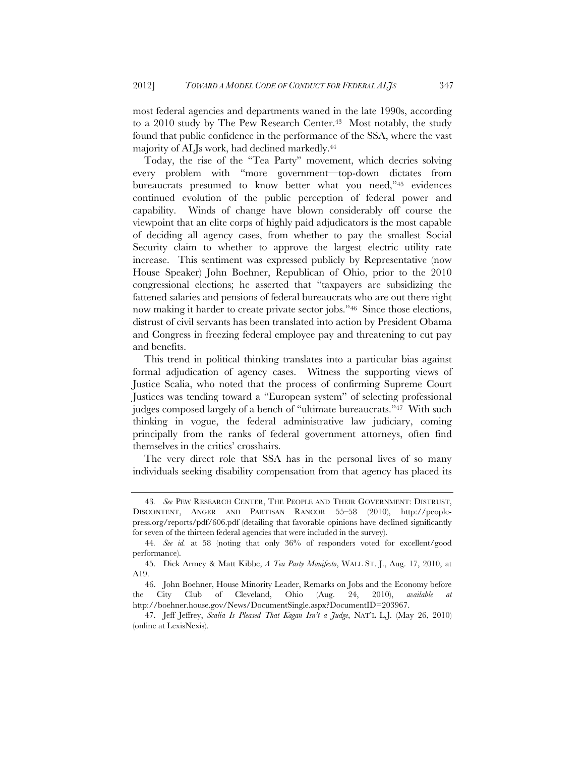most federal agencies and departments waned in the late 1990s, according to a 2010 study by The Pew Research Center.<sup>43</sup> Most notably, the study found that public confidence in the performance of the SSA, where the vast majority of ALJs work, had declined markedly.44

Today, the rise of the "Tea Party" movement, which decries solving every problem with "more government—top-down dictates from bureaucrats presumed to know better what you need,"45 evidences continued evolution of the public perception of federal power and capability. Winds of change have blown considerably off course the viewpoint that an elite corps of highly paid adjudicators is the most capable of deciding all agency cases, from whether to pay the smallest Social Security claim to whether to approve the largest electric utility rate increase. This sentiment was expressed publicly by Representative (now House Speaker) John Boehner, Republican of Ohio, prior to the 2010 congressional elections; he asserted that "taxpayers are subsidizing the fattened salaries and pensions of federal bureaucrats who are out there right now making it harder to create private sector jobs."46 Since those elections, distrust of civil servants has been translated into action by President Obama and Congress in freezing federal employee pay and threatening to cut pay and benefits.

This trend in political thinking translates into a particular bias against formal adjudication of agency cases. Witness the supporting views of Justice Scalia, who noted that the process of confirming Supreme Court Justices was tending toward a "European system" of selecting professional judges composed largely of a bench of "ultimate bureaucrats."47 With such thinking in vogue, the federal administrative law judiciary, coming principally from the ranks of federal government attorneys, often find themselves in the critics' crosshairs.

The very direct role that SSA has in the personal lives of so many individuals seeking disability compensation from that agency has placed its

<sup>43</sup>*. See* PEW RESEARCH CENTER, THE PEOPLE AND THEIR GOVERNMENT: DISTRUST, DISCONTENT, ANGER AND PARTISAN RANCOR 55–58 (2010), http://peoplepress.org/reports/pdf/606.pdf (detailing that favorable opinions have declined significantly for seven of the thirteen federal agencies that were included in the survey).

<sup>44</sup>*. See id.* at 58 (noting that only 36% of responders voted for excellent/good performance).

 <sup>45.</sup> Dick Armey & Matt Kibbe, *A Tea Party Manifesto*, WALL ST. J., Aug. 17, 2010, at A19.

 <sup>46.</sup> John Boehner, House Minority Leader, Remarks on Jobs and the Economy before the City Club of Cleveland, Ohio (Aug. 24, 2010), *available at* http://boehner.house.gov/News/DocumentSingle.aspx?DocumentID=203967.

 <sup>47.</sup> Jeff Jeffrey, *Scalia Is Pleased That Kagan Isn't a Judge*, NAT'L L.J. (May 26, 2010) (online at LexisNexis).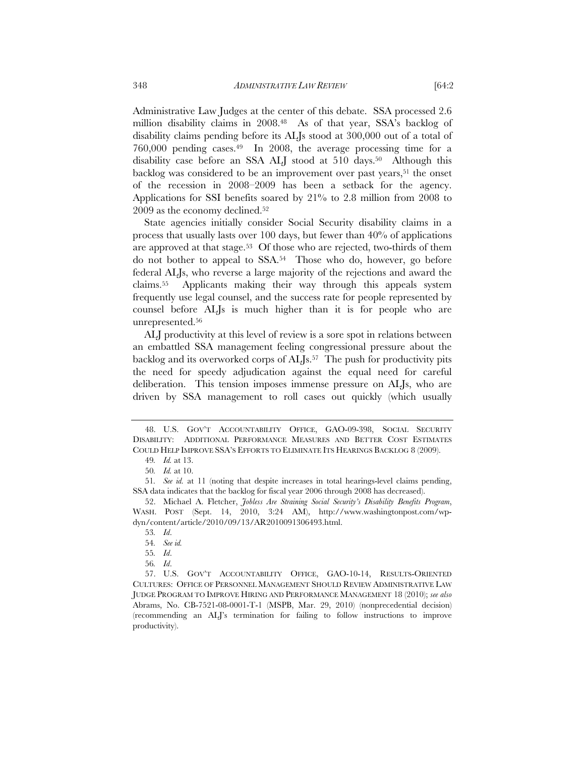Administrative Law Judges at the center of this debate. SSA processed 2.6 million disability claims in 2008.48 As of that year, SSA's backlog of disability claims pending before its ALJs stood at 300,000 out of a total of 760,000 pending cases.49 In 2008, the average processing time for a disability case before an SSA ALJ stood at 510 days.<sup>50</sup> Although this backlog was considered to be an improvement over past years,<sup>51</sup> the onset of the recession in 2008–2009 has been a setback for the agency. Applications for SSI benefits soared by 21% to 2.8 million from 2008 to 2009 as the economy declined.52

State agencies initially consider Social Security disability claims in a process that usually lasts over 100 days, but fewer than 40% of applications are approved at that stage.<sup>53</sup> Of those who are rejected, two-thirds of them do not bother to appeal to SSA.54 Those who do, however, go before federal ALJs, who reverse a large majority of the rejections and award the claims.55 Applicants making their way through this appeals system frequently use legal counsel, and the success rate for people represented by counsel before ALJs is much higher than it is for people who are unrepresented.56

ALJ productivity at this level of review is a sore spot in relations between an embattled SSA management feeling congressional pressure about the backlog and its overworked corps of ALJs.<sup>57</sup> The push for productivity pits the need for speedy adjudication against the equal need for careful deliberation. This tension imposes immense pressure on ALJs, who are driven by SSA management to roll cases out quickly (which usually

 <sup>48.</sup> U.S. GOV'T ACCOUNTABILITY OFFICE, GAO-09-398, SOCIAL SECURITY DISABILITY: ADDITIONAL PERFORMANCE MEASURES AND BETTER COST ESTIMATES COULD HELP IMPROVE SSA'S EFFORTS TO ELIMINATE ITS HEARINGS BACKLOG 8 (2009).

<sup>49</sup>*. Id.* at 13.

<sup>50</sup>*. Id.* at 10.

<sup>51</sup>*. See id.* at 11 (noting that despite increases in total hearings-level claims pending, SSA data indicates that the backlog for fiscal year 2006 through 2008 has decreased).

 <sup>52.</sup> Michael A. Fletcher, *Jobless Are Straining Social Security's Disability Benefits Program*, WASH. POST (Sept. 14, 2010, 3:24 AM), http://www.washingtonpost.com/wpdyn/content/article/2010/09/13/AR2010091306493.html.

<sup>53</sup>*. Id*.

<sup>54</sup>*. See id.*

<sup>55</sup>*. Id*.

<sup>56</sup>*. Id*.

 <sup>57.</sup> U.S. GOV'T ACCOUNTABILITY OFFICE, GAO-10-14, RESULTS-ORIENTED CULTURES: OFFICE OF PERSONNEL MANAGEMENT SHOULD REVIEW ADMINISTRATIVE LAW JUDGE PROGRAM TO IMPROVE HIRING AND PERFORMANCE MANAGEMENT 18 (2010); *see also* Abrams, No. CB-7521-08-0001-T-1 (MSPB, Mar. 29, 2010) (nonprecedential decision) (recommending an ALJ's termination for failing to follow instructions to improve productivity).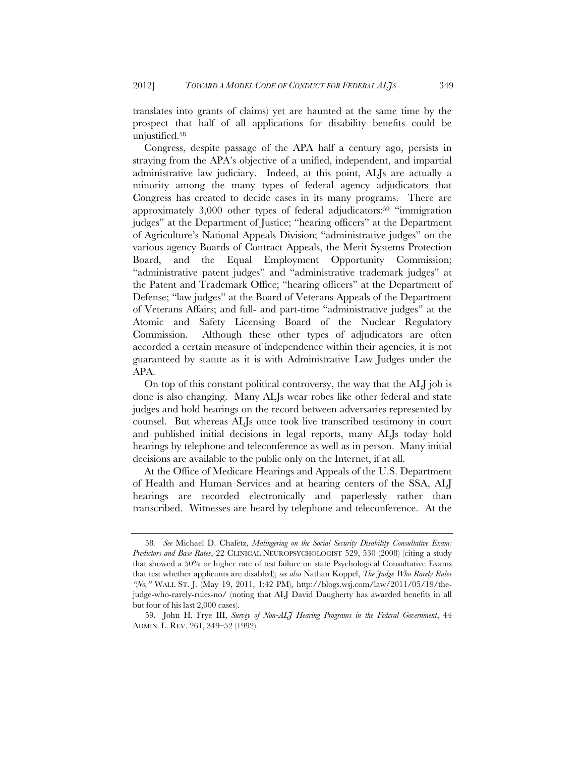translates into grants of claims) yet are haunted at the same time by the prospect that half of all applications for disability benefits could be unjustified.58

Congress, despite passage of the APA half a century ago, persists in straying from the APA's objective of a unified, independent, and impartial administrative law judiciary. Indeed, at this point, ALJs are actually a minority among the many types of federal agency adjudicators that Congress has created to decide cases in its many programs. There are approximately 3,000 other types of federal adjudicators:<sup>59</sup> "immigration judges" at the Department of Justice; "hearing officers" at the Department of Agriculture's National Appeals Division; "administrative judges" on the various agency Boards of Contract Appeals, the Merit Systems Protection Board, and the Equal Employment Opportunity Commission; "administrative patent judges" and "administrative trademark judges" at the Patent and Trademark Office; "hearing officers" at the Department of Defense; "law judges" at the Board of Veterans Appeals of the Department of Veterans Affairs; and full- and part-time "administrative judges" at the Atomic and Safety Licensing Board of the Nuclear Regulatory Commission. Although these other types of adjudicators are often accorded a certain measure of independence within their agencies, it is not guaranteed by statute as it is with Administrative Law Judges under the APA.

On top of this constant political controversy, the way that the ALJ job is done is also changing. Many ALJs wear robes like other federal and state judges and hold hearings on the record between adversaries represented by counsel. But whereas ALJs once took live transcribed testimony in court and published initial decisions in legal reports, many ALJs today hold hearings by telephone and teleconference as well as in person. Many initial decisions are available to the public only on the Internet, if at all.

At the Office of Medicare Hearings and Appeals of the U.S. Department of Health and Human Services and at hearing centers of the SSA, ALJ hearings are recorded electronically and paperlessly rather than transcribed. Witnesses are heard by telephone and teleconference. At the

<sup>58</sup>*. See* Michael D. Chafetz, *Malingering on the Social Security Disability Consultative Exam: Predictors and Base Rates*, 22 CLINICAL NEUROPSYCHOLOGIST 529, 530 (2008) (citing a study that showed a 50% or higher rate of test failure on state Psychological Consultative Exams that test whether applicants are disabled); *see also* Nathan Koppel, *The Judge Who Rarely Rules "No,"* WALL ST. J. (May 19, 2011, 1:42 PM), http://blogs.wsj.com/law/2011/05/19/thejudge-who-rarely-rules-no/ (noting that ALJ David Daugherty has awarded benefits in all but four of his last 2,000 cases).

 <sup>59.</sup> John H. Frye III, *Survey of Non-ALJ Hearing Programs in the Federal Government*, 44 ADMIN. L. REV. 261, 349–52 (1992).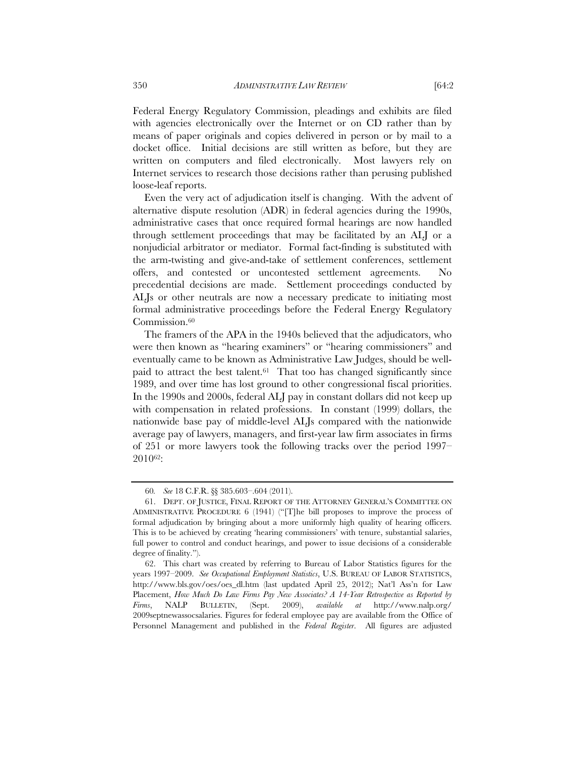Federal Energy Regulatory Commission, pleadings and exhibits are filed with agencies electronically over the Internet or on CD rather than by means of paper originals and copies delivered in person or by mail to a docket office. Initial decisions are still written as before, but they are written on computers and filed electronically. Most lawyers rely on Internet services to research those decisions rather than perusing published loose-leaf reports.

Even the very act of adjudication itself is changing. With the advent of alternative dispute resolution (ADR) in federal agencies during the 1990s, administrative cases that once required formal hearings are now handled through settlement proceedings that may be facilitated by an ALJ or a nonjudicial arbitrator or mediator. Formal fact-finding is substituted with the arm-twisting and give-and-take of settlement conferences, settlement offers, and contested or uncontested settlement agreements. No precedential decisions are made. Settlement proceedings conducted by ALJs or other neutrals are now a necessary predicate to initiating most formal administrative proceedings before the Federal Energy Regulatory Commission.<sup>60</sup>

The framers of the APA in the 1940s believed that the adjudicators, who were then known as "hearing examiners" or "hearing commissioners" and eventually came to be known as Administrative Law Judges, should be wellpaid to attract the best talent.61 That too has changed significantly since 1989, and over time has lost ground to other congressional fiscal priorities. In the 1990s and 2000s, federal ALJ pay in constant dollars did not keep up with compensation in related professions. In constant (1999) dollars, the nationwide base pay of middle-level ALJs compared with the nationwide average pay of lawyers, managers, and first-year law firm associates in firms of 251 or more lawyers took the following tracks over the period 1997– 201062:

<sup>60</sup>*. See* 18 C.F.R. §§ 385.603–.604 (2011).

 <sup>61.</sup> DEPT. OF JUSTICE, FINAL REPORT OF THE ATTORNEY GENERAL'S COMMITTEE ON ADMINISTRATIVE PROCEDURE 6 (1941) ("[T]he bill proposes to improve the process of formal adjudication by bringing about a more uniformly high quality of hearing officers. This is to be achieved by creating 'hearing commissioners' with tenure, substantial salaries, full power to control and conduct hearings, and power to issue decisions of a considerable degree of finality.").

 <sup>62.</sup> This chart was created by referring to Bureau of Labor Statistics figures for the years 1997–2009. *See Occupational Employment Statistics*, U.S. BUREAU OF LABOR STATISTICS, http://www.bls.gov/oes/oes\_dl.htm (last updated April 25, 2012); Nat'l Ass'n for Law Placement, *How Much Do Law Firms Pay New Associates? A 14-Year Retrospective as Reported by Firms*, NALP BULLETIN, (Sept. 2009), *available at* http://www.nalp.org/ 2009septnewassocsalaries. Figures for federal employee pay are available from the Office of Personnel Management and published in the *Federal Register*. All figures are adjusted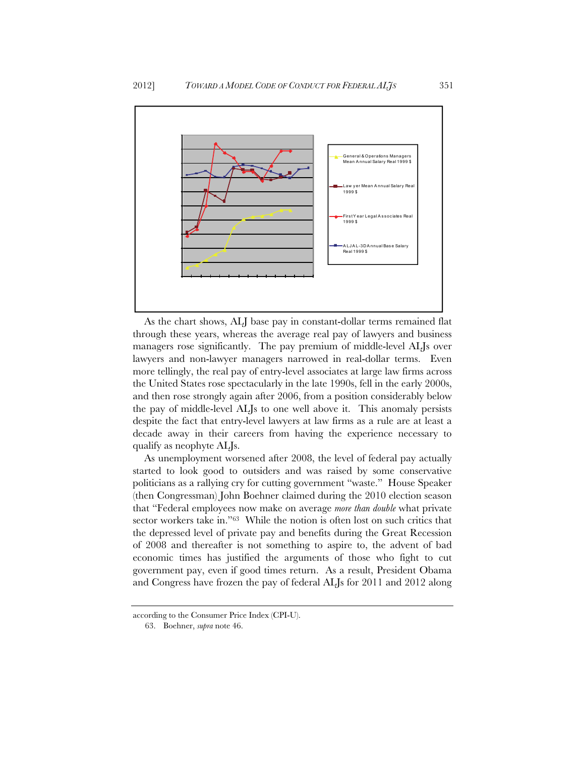

As the chart shows, ALJ base pay in constant-dollar terms remained flat through these years, whereas the average real pay of lawyers and business managers rose significantly. The pay premium of middle-level ALJs over lawyers and non-lawyer managers narrowed in real-dollar terms. Even more tellingly, the real pay of entry-level associates at large law firms across the United States rose spectacularly in the late 1990s, fell in the early 2000s, and then rose strongly again after 2006, from a position considerably below the pay of middle-level ALJs to one well above it. This anomaly persists despite the fact that entry-level lawyers at law firms as a rule are at least a decade away in their careers from having the experience necessary to qualify as neophyte ALJs.

As unemployment worsened after 2008, the level of federal pay actually started to look good to outsiders and was raised by some conservative politicians as a rallying cry for cutting government "waste." House Speaker (then Congressman) John Boehner claimed during the 2010 election season that "Federal employees now make on average *more than double* what private sector workers take in."<sup>63</sup> While the notion is often lost on such critics that the depressed level of private pay and benefits during the Great Recession of 2008 and thereafter is not something to aspire to, the advent of bad economic times has justified the arguments of those who fight to cut government pay, even if good times return. As a result, President Obama and Congress have frozen the pay of federal ALJs for 2011 and 2012 along

according to the Consumer Price Index (CPI-U).

 <sup>63.</sup> Boehner, *supra* note 46.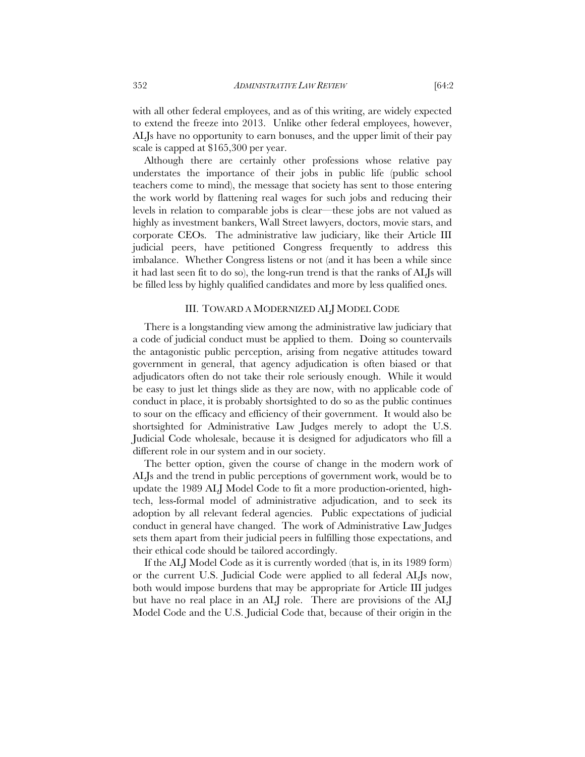with all other federal employees, and as of this writing, are widely expected to extend the freeze into 2013. Unlike other federal employees, however, ALJs have no opportunity to earn bonuses, and the upper limit of their pay scale is capped at \$165,300 per year.

Although there are certainly other professions whose relative pay understates the importance of their jobs in public life (public school teachers come to mind), the message that society has sent to those entering the work world by flattening real wages for such jobs and reducing their levels in relation to comparable jobs is clear—these jobs are not valued as highly as investment bankers, Wall Street lawyers, doctors, movie stars, and corporate CEOs. The administrative law judiciary, like their Article III judicial peers, have petitioned Congress frequently to address this imbalance. Whether Congress listens or not (and it has been a while since it had last seen fit to do so), the long-run trend is that the ranks of ALJs will be filled less by highly qualified candidates and more by less qualified ones.

#### III. TOWARD A MODERNIZED ALJ MODEL CODE

There is a longstanding view among the administrative law judiciary that a code of judicial conduct must be applied to them. Doing so countervails the antagonistic public perception, arising from negative attitudes toward government in general, that agency adjudication is often biased or that adjudicators often do not take their role seriously enough. While it would be easy to just let things slide as they are now, with no applicable code of conduct in place, it is probably shortsighted to do so as the public continues to sour on the efficacy and efficiency of their government. It would also be shortsighted for Administrative Law Judges merely to adopt the U.S. Judicial Code wholesale, because it is designed for adjudicators who fill a different role in our system and in our society.

The better option, given the course of change in the modern work of ALJs and the trend in public perceptions of government work, would be to update the 1989 ALJ Model Code to fit a more production-oriented, hightech, less-formal model of administrative adjudication, and to seek its adoption by all relevant federal agencies. Public expectations of judicial conduct in general have changed. The work of Administrative Law Judges sets them apart from their judicial peers in fulfilling those expectations, and their ethical code should be tailored accordingly.

If the ALJ Model Code as it is currently worded (that is, in its 1989 form) or the current U.S. Judicial Code were applied to all federal ALJs now, both would impose burdens that may be appropriate for Article III judges but have no real place in an ALJ role. There are provisions of the ALJ Model Code and the U.S. Judicial Code that, because of their origin in the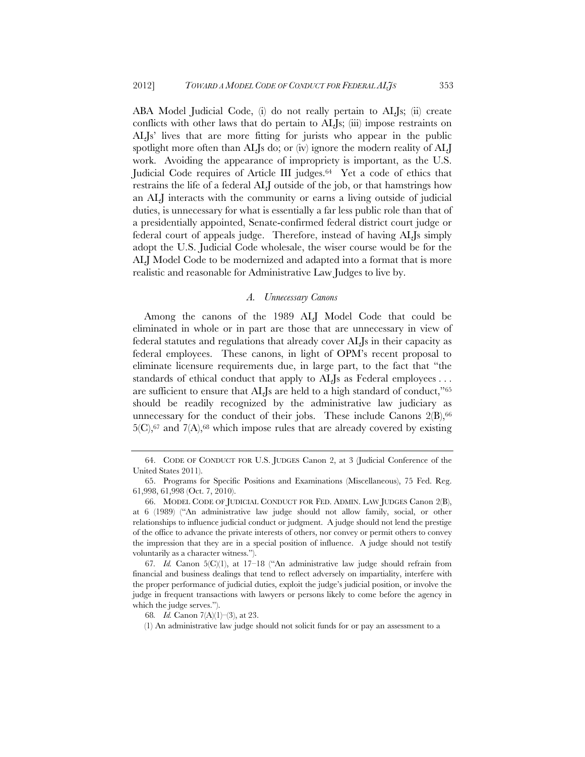ABA Model Judicial Code, (i) do not really pertain to ALJs; (ii) create conflicts with other laws that do pertain to ALJs; (iii) impose restraints on ALJs' lives that are more fitting for jurists who appear in the public spotlight more often than ALJs do; or (iv) ignore the modern reality of ALJ work. Avoiding the appearance of impropriety is important, as the U.S. Judicial Code requires of Article III judges.<sup>64</sup> Yet a code of ethics that restrains the life of a federal ALJ outside of the job, or that hamstrings how an ALJ interacts with the community or earns a living outside of judicial duties, is unnecessary for what is essentially a far less public role than that of a presidentially appointed, Senate-confirmed federal district court judge or federal court of appeals judge. Therefore, instead of having ALJs simply adopt the U.S. Judicial Code wholesale, the wiser course would be for the ALJ Model Code to be modernized and adapted into a format that is more realistic and reasonable for Administrative Law Judges to live by.

### *A. Unnecessary Canons*

Among the canons of the 1989 ALJ Model Code that could be eliminated in whole or in part are those that are unnecessary in view of federal statutes and regulations that already cover ALJs in their capacity as federal employees. These canons, in light of OPM's recent proposal to eliminate licensure requirements due, in large part, to the fact that "the standards of ethical conduct that apply to ALJs as Federal employees... are sufficient to ensure that ALJs are held to a high standard of conduct,"65 should be readily recognized by the administrative law judiciary as unnecessary for the conduct of their jobs. These include Canons  $2(B)$ ,<sup>66</sup>  $5(C)$ ,<sup>67</sup> and  $7(A)$ ,<sup>68</sup> which impose rules that are already covered by existing

 <sup>64.</sup> CODE OF CONDUCT FOR U.S. JUDGES Canon 2, at 3 (Judicial Conference of the United States 2011).

 <sup>65.</sup> Programs for Specific Positions and Examinations (Miscellaneous), 75 Fed. Reg. 61,998, 61,998 (Oct. 7, 2010).

 <sup>66.</sup> MODEL CODE OF JUDICIAL CONDUCT FOR FED. ADMIN. LAW JUDGES Canon 2(B), at 6 (1989) ("An administrative law judge should not allow family, social, or other relationships to influence judicial conduct or judgment. A judge should not lend the prestige of the office to advance the private interests of others, nor convey or permit others to convey the impression that they are in a special position of influence. A judge should not testify voluntarily as a character witness.").

<sup>67</sup>*. Id.* Canon 5(C)(1), at 17–18 ("An administrative law judge should refrain from financial and business dealings that tend to reflect adversely on impartiality, interfere with the proper performance of judicial duties, exploit the judge's judicial position, or involve the judge in frequent transactions with lawyers or persons likely to come before the agency in which the judge serves.").

<sup>68</sup>*. Id.* Canon 7(A)(1)–(3), at 23.

<sup>(1)</sup> An administrative law judge should not solicit funds for or pay an assessment to a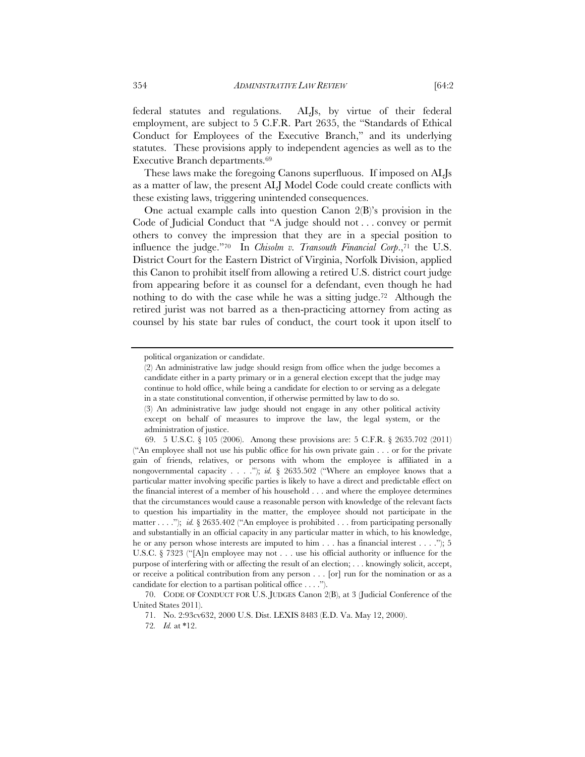federal statutes and regulations. ALJs, by virtue of their federal employment, are subject to 5 C.F.R. Part 2635, the "Standards of Ethical Conduct for Employees of the Executive Branch," and its underlying statutes. These provisions apply to independent agencies as well as to the Executive Branch departments.69

These laws make the foregoing Canons superfluous. If imposed on ALJs as a matter of law, the present ALJ Model Code could create conflicts with these existing laws, triggering unintended consequences.

One actual example calls into question Canon 2(B)'s provision in the Code of Judicial Conduct that "A judge should not . . . convey or permit others to convey the impression that they are in a special position to influence the judge."70 In *Chisolm v. Transouth Financial Corp*.,71 the U.S. District Court for the Eastern District of Virginia, Norfolk Division, applied this Canon to prohibit itself from allowing a retired U.S. district court judge from appearing before it as counsel for a defendant, even though he had nothing to do with the case while he was a sitting judge.72 Although the retired jurist was not barred as a then-practicing attorney from acting as counsel by his state bar rules of conduct, the court took it upon itself to

political organization or candidate.

<sup>(2)</sup> An administrative law judge should resign from office when the judge becomes a candidate either in a party primary or in a general election except that the judge may continue to hold office, while being a candidate for election to or serving as a delegate in a state constitutional convention, if otherwise permitted by law to do so.

<sup>(3)</sup> An administrative law judge should not engage in any other political activity except on behalf of measures to improve the law, the legal system, or the administration of justice.

 <sup>69. 5</sup> U.S.C. § 105 (2006). Among these provisions are: 5 C.F.R. § 2635.702 (2011) ("An employee shall not use his public office for his own private gain . . . or for the private gain of friends, relatives, or persons with whom the employee is affiliated in a nongovernmental capacity . . . ."); *id.* § 2635.502 ("Where an employee knows that a particular matter involving specific parties is likely to have a direct and predictable effect on the financial interest of a member of his household . . . and where the employee determines that the circumstances would cause a reasonable person with knowledge of the relevant facts to question his impartiality in the matter, the employee should not participate in the matter . . . "); *id.* § 2635.402 ("An employee is prohibited . . . from participating personally and substantially in an official capacity in any particular matter in which, to his knowledge, he or any person whose interests are imputed to him . . . has a financial interest . . . ."); 5 U.S.C. § 7323 ("[A]n employee may not . . . use his official authority or influence for the purpose of interfering with or affecting the result of an election; . . . knowingly solicit, accept, or receive a political contribution from any person . . . [or] run for the nomination or as a candidate for election to a partisan political office . . . .").

 <sup>70.</sup> CODE OF CONDUCT FOR U.S. JUDGES Canon 2(B), at 3 (Judicial Conference of the United States 2011).

 <sup>71.</sup> No. 2:93cv632, 2000 U.S. Dist. LEXIS 8483 (E.D. Va. May 12, 2000).

<sup>72</sup>*. Id.* at \*12.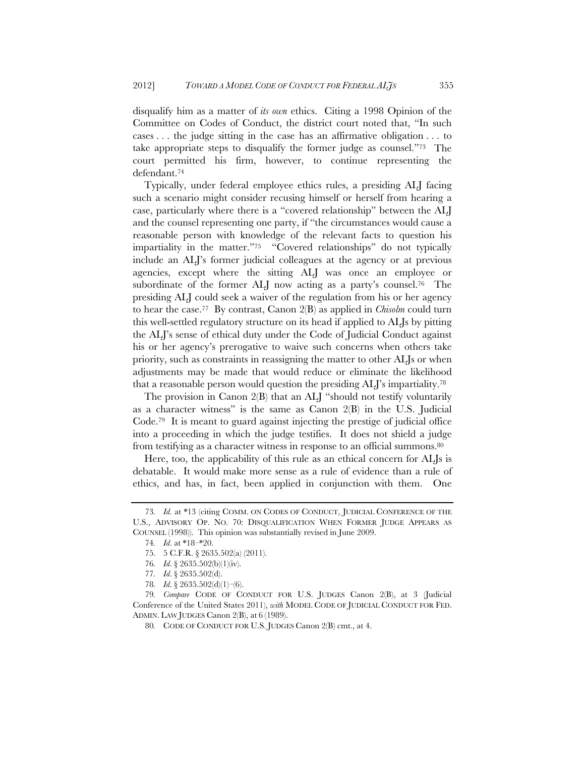disqualify him as a matter of *its own* ethics. Citing a 1998 Opinion of the Committee on Codes of Conduct, the district court noted that, "In such cases . . . the judge sitting in the case has an affirmative obligation . . . to take appropriate steps to disqualify the former judge as counsel."73 The court permitted his firm, however, to continue representing the defendant.74

Typically, under federal employee ethics rules, a presiding ALJ facing such a scenario might consider recusing himself or herself from hearing a case, particularly where there is a "covered relationship" between the ALJ and the counsel representing one party, if "the circumstances would cause a reasonable person with knowledge of the relevant facts to question his impartiality in the matter."75 "Covered relationships" do not typically include an ALJ's former judicial colleagues at the agency or at previous agencies, except where the sitting ALJ was once an employee or subordinate of the former ALJ now acting as a party's counsel.<sup>76</sup> The presiding ALJ could seek a waiver of the regulation from his or her agency to hear the case.77 By contrast, Canon 2(B) as applied in *Chisolm* could turn this well-settled regulatory structure on its head if applied to ALJs by pitting the ALJ's sense of ethical duty under the Code of Judicial Conduct against his or her agency's prerogative to waive such concerns when others take priority, such as constraints in reassigning the matter to other ALJs or when adjustments may be made that would reduce or eliminate the likelihood that a reasonable person would question the presiding ALJ's impartiality.78

The provision in Canon 2(B) that an ALJ "should not testify voluntarily as a character witness" is the same as Canon 2(B) in the U.S. Judicial Code.79 It is meant to guard against injecting the prestige of judicial office into a proceeding in which the judge testifies. It does not shield a judge from testifying as a character witness in response to an official summons.80

Here, too, the applicability of this rule as an ethical concern for ALJs is debatable. It would make more sense as a rule of evidence than a rule of ethics, and has, in fact, been applied in conjunction with them. One

<sup>73</sup>*. Id*. at \*13 (citing COMM. ON CODES OF CONDUCT, JUDICIAL CONFERENCE OF THE U.S., ADVISORY OP. NO. 70: DISQUALIFICATION WHEN FORMER JUDGE APPEARS AS COUNSEL (1998)). This opinion was substantially revised in June 2009.

<sup>74</sup>*. Id*. at \*18–\*20.

 <sup>75. 5</sup> C.F.R. § 2635.502(a) (2011).

<sup>76</sup>*. Id*. § 2635.502(b)(1)(iv).

<sup>77</sup>*. Id*. § 2635.502(d).

<sup>78</sup>*. Id*. § 2635.502(d)(1)–(6).

<sup>79</sup>*. Compare* CODE OF CONDUCT FOR U.S. JUDGES Canon 2(B), at 3 (Judicial Conference of the United States 2011), *with* MODEL CODE OF JUDICIAL CONDUCT FOR FED. ADMIN. LAW JUDGES Canon 2(B), at 6 (1989).

<sup>80</sup>*.* CODE OF CONDUCT FOR U.S. JUDGES Canon 2(B) cmt., at 4.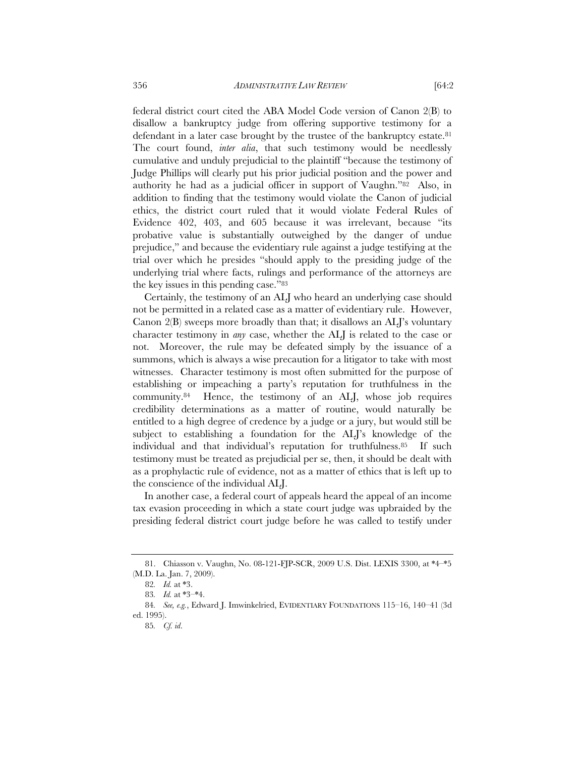federal district court cited the ABA Model Code version of Canon 2(B) to disallow a bankruptcy judge from offering supportive testimony for a defendant in a later case brought by the trustee of the bankruptcy estate.<sup>81</sup> The court found, *inter alia*, that such testimony would be needlessly cumulative and unduly prejudicial to the plaintiff "because the testimony of Judge Phillips will clearly put his prior judicial position and the power and authority he had as a judicial officer in support of Vaughn."82 Also, in addition to finding that the testimony would violate the Canon of judicial ethics, the district court ruled that it would violate Federal Rules of Evidence 402, 403, and 605 because it was irrelevant, because "its probative value is substantially outweighed by the danger of undue prejudice," and because the evidentiary rule against a judge testifying at the trial over which he presides "should apply to the presiding judge of the underlying trial where facts, rulings and performance of the attorneys are the key issues in this pending case."83

Certainly, the testimony of an ALJ who heard an underlying case should not be permitted in a related case as a matter of evidentiary rule. However, Canon 2(B) sweeps more broadly than that; it disallows an ALJ's voluntary character testimony in *any* case, whether the ALJ is related to the case or not. Moreover, the rule may be defeated simply by the issuance of a summons, which is always a wise precaution for a litigator to take with most witnesses. Character testimony is most often submitted for the purpose of establishing or impeaching a party's reputation for truthfulness in the community.84 Hence, the testimony of an ALJ, whose job requires credibility determinations as a matter of routine, would naturally be entitled to a high degree of credence by a judge or a jury, but would still be subject to establishing a foundation for the ALJ's knowledge of the individual and that individual's reputation for truthfulness.85 If such testimony must be treated as prejudicial per se, then, it should be dealt with as a prophylactic rule of evidence, not as a matter of ethics that is left up to the conscience of the individual ALJ.

In another case, a federal court of appeals heard the appeal of an income tax evasion proceeding in which a state court judge was upbraided by the presiding federal district court judge before he was called to testify under

 <sup>81.</sup> Chiasson v. Vaughn, No. 08-121-FJP-SCR, 2009 U.S. Dist. LEXIS 3300, at \*4–\*5 (M.D. La. Jan. 7, 2009).

<sup>82</sup>*. Id.* at \*3.

<sup>83</sup>*. Id.* at \*3–\*4.

<sup>84</sup>*. See, e.g.*, Edward J. Imwinkelried, EVIDENTIARY FOUNDATIONS 115–16, 140–41 (3d ed. 1995).

<sup>85</sup>*. Cf. id*.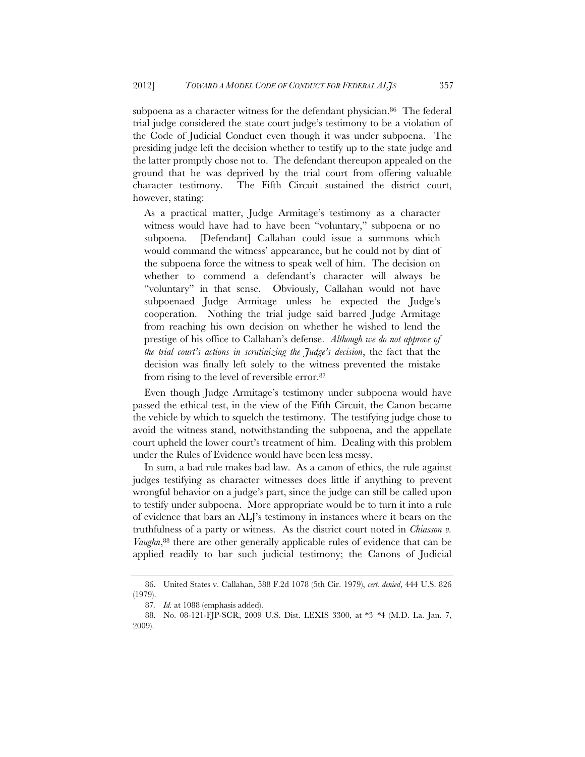subpoena as a character witness for the defendant physician.<sup>86</sup> The federal trial judge considered the state court judge's testimony to be a violation of the Code of Judicial Conduct even though it was under subpoena. The presiding judge left the decision whether to testify up to the state judge and the latter promptly chose not to. The defendant thereupon appealed on the ground that he was deprived by the trial court from offering valuable character testimony. The Fifth Circuit sustained the district court, however, stating:

As a practical matter, Judge Armitage's testimony as a character witness would have had to have been "voluntary," subpoena or no subpoena. [Defendant] Callahan could issue a summons which would command the witness' appearance, but he could not by dint of the subpoena force the witness to speak well of him. The decision on whether to commend a defendant's character will always be "voluntary" in that sense. Obviously, Callahan would not have subpoenaed Judge Armitage unless he expected the Judge's cooperation. Nothing the trial judge said barred Judge Armitage from reaching his own decision on whether he wished to lend the prestige of his office to Callahan's defense. *Although we do not approve of the trial court's actions in scrutinizing the Judge's decision*, the fact that the decision was finally left solely to the witness prevented the mistake from rising to the level of reversible error.87

Even though Judge Armitage's testimony under subpoena would have passed the ethical test, in the view of the Fifth Circuit, the Canon became the vehicle by which to squelch the testimony. The testifying judge chose to avoid the witness stand, notwithstanding the subpoena, and the appellate court upheld the lower court's treatment of him. Dealing with this problem under the Rules of Evidence would have been less messy.

In sum, a bad rule makes bad law. As a canon of ethics, the rule against judges testifying as character witnesses does little if anything to prevent wrongful behavior on a judge's part, since the judge can still be called upon to testify under subpoena. More appropriate would be to turn it into a rule of evidence that bars an ALJ's testimony in instances where it bears on the truthfulness of a party or witness. As the district court noted in *Chiasson v. Vaughn*,88 there are other generally applicable rules of evidence that can be applied readily to bar such judicial testimony; the Canons of Judicial

 <sup>86.</sup> United States v. Callahan, 588 F.2d 1078 (5th Cir. 1979), *cert. denied*, 444 U.S. 826 (1979).

<sup>87</sup>*. Id.* at 1088 (emphasis added).

 <sup>88.</sup> No. 08-121-FJP-SCR, 2009 U.S. Dist. LEXIS 3300, at \*3–\*4 (M.D. La. Jan. 7, 2009).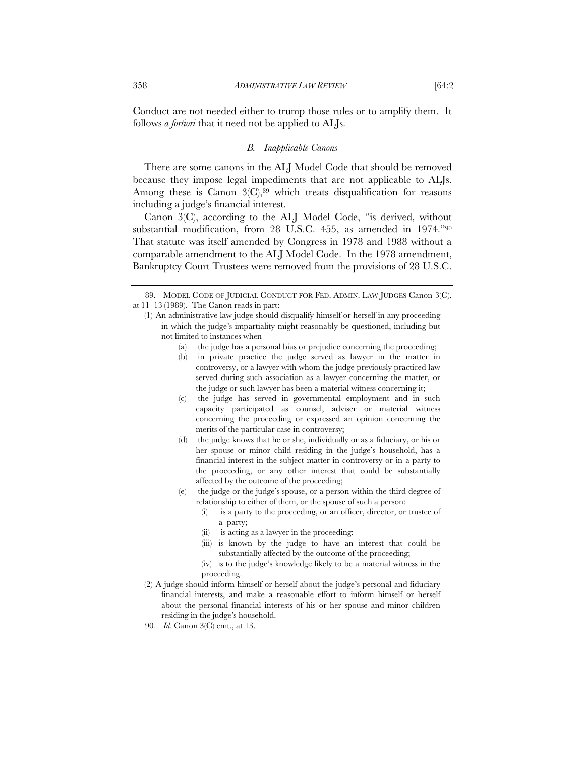Conduct are not needed either to trump those rules or to amplify them. It follows *a fortiori* that it need not be applied to ALJs.

# *B. Inapplicable Canons*

There are some canons in the ALJ Model Code that should be removed because they impose legal impediments that are not applicable to ALJs. Among these is Canon  $3\text{C}$ ,  $89$  which treats disqualification for reasons including a judge's financial interest.

Canon 3(C), according to the ALJ Model Code, "is derived, without substantial modification, from 28 U.S.C. 455, as amended in 1974."90 That statute was itself amended by Congress in 1978 and 1988 without a comparable amendment to the ALJ Model Code. In the 1978 amendment, Bankruptcy Court Trustees were removed from the provisions of 28 U.S.C.

- (a) the judge has a personal bias or prejudice concerning the proceeding;
- (b) in private practice the judge served as lawyer in the matter in controversy, or a lawyer with whom the judge previously practiced law served during such association as a lawyer concerning the matter, or the judge or such lawyer has been a material witness concerning it;
- (c) the judge has served in governmental employment and in such capacity participated as counsel, adviser or material witness concerning the proceeding or expressed an opinion concerning the merits of the particular case in controversy;
- (d) the judge knows that he or she, individually or as a fiduciary, or his or her spouse or minor child residing in the judge's household, has a financial interest in the subject matter in controversy or in a party to the proceeding, or any other interest that could be substantially affected by the outcome of the proceeding;
- (e) the judge or the judge's spouse, or a person within the third degree of relationship to either of them, or the spouse of such a person:
	- (i) is a party to the proceeding, or an officer, director, or trustee of a party;
	- (ii) is acting as a lawyer in the proceeding;
	- (iii) is known by the judge to have an interest that could be substantially affected by the outcome of the proceeding;
	- (iv) is to the judge's knowledge likely to be a material witness in the proceeding.
- (2) A judge should inform himself or herself about the judge's personal and fiduciary financial interests, and make a reasonable effort to inform himself or herself about the personal financial interests of his or her spouse and minor children residing in the judge's household.
- 90*. Id.* Canon 3(C) cmt., at 13.

 <sup>89.</sup> MODEL CODE OF JUDICIAL CONDUCT FOR FED. ADMIN. LAW JUDGES Canon 3(C), at 11–13 (1989). The Canon reads in part:

<sup>(1)</sup> An administrative law judge should disqualify himself or herself in any proceeding in which the judge's impartiality might reasonably be questioned, including but not limited to instances when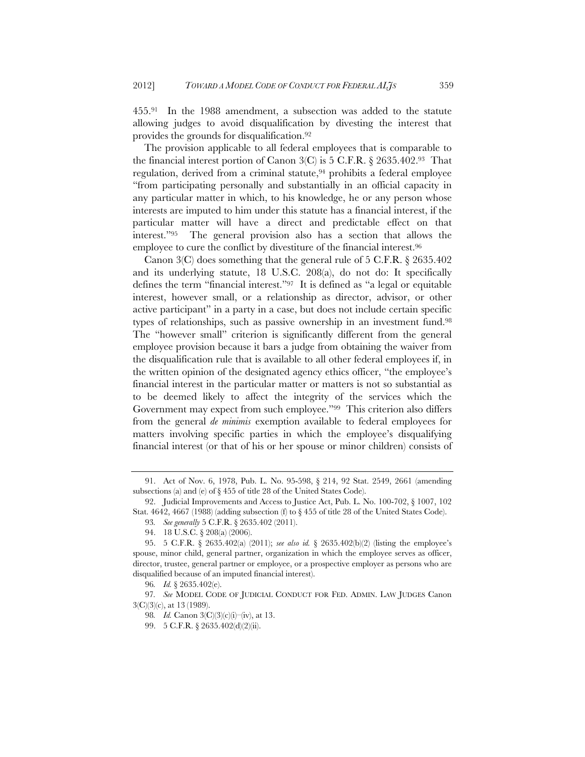455.91 In the 1988 amendment, a subsection was added to the statute allowing judges to avoid disqualification by divesting the interest that provides the grounds for disqualification.92

The provision applicable to all federal employees that is comparable to the financial interest portion of Canon  $3(C)$  is 5 C.F.R. § 2635.402.93 That regulation, derived from a criminal statute,<sup>94</sup> prohibits a federal employee "from participating personally and substantially in an official capacity in any particular matter in which, to his knowledge, he or any person whose interests are imputed to him under this statute has a financial interest, if the particular matter will have a direct and predictable effect on that interest."95 The general provision also has a section that allows the employee to cure the conflict by divestiture of the financial interest.96

Canon 3(C) does something that the general rule of 5 C.F.R. § 2635.402 and its underlying statute, 18 U.S.C. 208(a), do not do: It specifically defines the term "financial interest."97 It is defined as "a legal or equitable interest, however small, or a relationship as director, advisor, or other active participant" in a party in a case, but does not include certain specific types of relationships, such as passive ownership in an investment fund.98 The "however small" criterion is significantly different from the general employee provision because it bars a judge from obtaining the waiver from the disqualification rule that is available to all other federal employees if, in the written opinion of the designated agency ethics officer, "the employee's financial interest in the particular matter or matters is not so substantial as to be deemed likely to affect the integrity of the services which the Government may expect from such employee."99 This criterion also differs from the general *de minimis* exemption available to federal employees for matters involving specific parties in which the employee's disqualifying financial interest (or that of his or her spouse or minor children) consists of

 <sup>91.</sup> Act of Nov. 6, 1978, Pub. L. No. 95-598, § 214, 92 Stat. 2549, 2661 (amending subsections (a) and (e) of § 455 of title 28 of the United States Code).

 <sup>92.</sup> Judicial Improvements and Access to Justice Act, Pub. L. No. 100-702, § 1007, 102 Stat. 4642, 4667 (1988) (adding subsection (f) to § 455 of title 28 of the United States Code).

<sup>93</sup>*. See generally* 5 C.F.R. § 2635.402 (2011).

 <sup>94. 18</sup> U.S.C. § 208(a) (2006).

 <sup>95. 5</sup> C.F.R. § 2635.402(a) (2011); *see also id.* § 2635.402(b)(2) (listing the employee's spouse, minor child, general partner, organization in which the employee serves as officer, director, trustee, general partner or employee, or a prospective employer as persons who are disqualified because of an imputed financial interest).

<sup>96</sup>*. Id.* § 2635.402(e).

<sup>97</sup>*. See* MODEL CODE OF JUDICIAL CONDUCT FOR FED. ADMIN. LAW JUDGES Canon 3(C)(3)(c), at 13 (1989).

<sup>98</sup>*. Id.* Canon 3(C)(3)(c)(i)–(iv), at 13.

 <sup>99. 5</sup> C.F.R. § 2635.402(d)(2)(ii).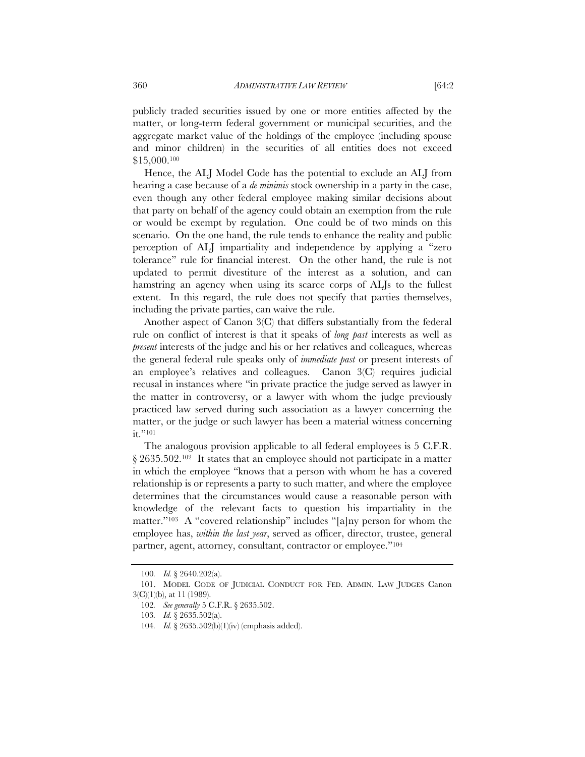publicly traded securities issued by one or more entities affected by the matter, or long-term federal government or municipal securities, and the aggregate market value of the holdings of the employee (including spouse and minor children) in the securities of all entities does not exceed \$15,000.100

Hence, the ALJ Model Code has the potential to exclude an ALJ from hearing a case because of a *de minimis* stock ownership in a party in the case, even though any other federal employee making similar decisions about that party on behalf of the agency could obtain an exemption from the rule or would be exempt by regulation. One could be of two minds on this scenario. On the one hand, the rule tends to enhance the reality and public perception of ALJ impartiality and independence by applying a "zero tolerance" rule for financial interest. On the other hand, the rule is not updated to permit divestiture of the interest as a solution, and can hamstring an agency when using its scarce corps of ALIs to the fullest extent. In this regard, the rule does not specify that parties themselves, including the private parties, can waive the rule.

Another aspect of Canon 3(C) that differs substantially from the federal rule on conflict of interest is that it speaks of *long past* interests as well as *present* interests of the judge and his or her relatives and colleagues, whereas the general federal rule speaks only of *immediate past* or present interests of an employee's relatives and colleagues. Canon 3(C) requires judicial recusal in instances where "in private practice the judge served as lawyer in the matter in controversy, or a lawyer with whom the judge previously practiced law served during such association as a lawyer concerning the matter, or the judge or such lawyer has been a material witness concerning it."<sup>101</sup>

The analogous provision applicable to all federal employees is 5 C.F.R. § 2635.502.102 It states that an employee should not participate in a matter in which the employee "knows that a person with whom he has a covered relationship is or represents a party to such matter, and where the employee determines that the circumstances would cause a reasonable person with knowledge of the relevant facts to question his impartiality in the matter."103 A "covered relationship" includes "[a]ny person for whom the employee has, *within the last year*, served as officer, director, trustee, general partner, agent, attorney, consultant, contractor or employee."104

<sup>100</sup>*. Id.* § 2640.202(a).

 <sup>101.</sup> MODEL CODE OF JUDICIAL CONDUCT FOR FED. ADMIN. LAW JUDGES Canon 3(C)(1)(b), at 11 (1989).

<sup>102</sup>*. See generally* 5 C.F.R. § 2635.502.

<sup>103</sup>*. Id.* § 2635.502(a).

<sup>104</sup>*. Id.* § 2635.502(b)(1)(iv) (emphasis added).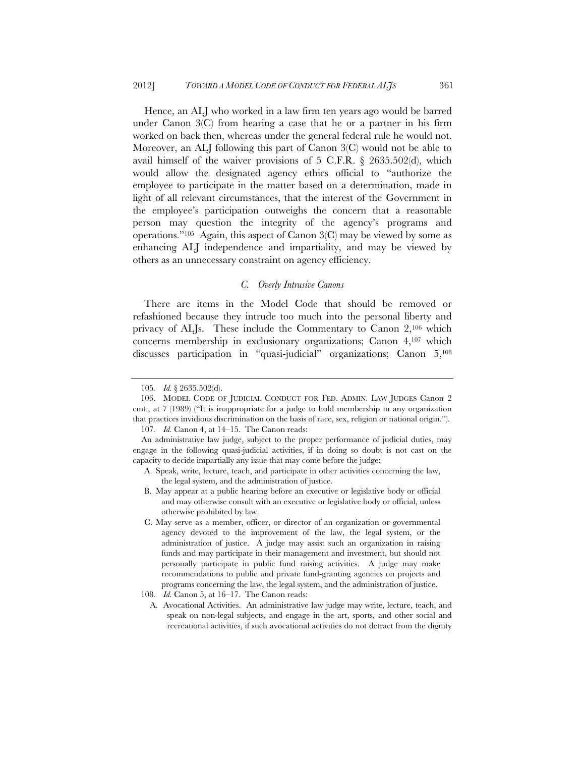Hence, an ALJ who worked in a law firm ten years ago would be barred under Canon 3(C) from hearing a case that he or a partner in his firm worked on back then, whereas under the general federal rule he would not. Moreover, an ALJ following this part of Canon 3(C) would not be able to avail himself of the waiver provisions of 5 C.F.R. § 2635.502(d), which would allow the designated agency ethics official to "authorize the employee to participate in the matter based on a determination, made in light of all relevant circumstances, that the interest of the Government in the employee's participation outweighs the concern that a reasonable person may question the integrity of the agency's programs and operations."<sup>105</sup> Again, this aspect of Canon  $3\textcircled{C}$  may be viewed by some as enhancing ALJ independence and impartiality, and may be viewed by others as an unnecessary constraint on agency efficiency.

# *C. Overly Intrusive Canons*

There are items in the Model Code that should be removed or refashioned because they intrude too much into the personal liberty and privacy of ALJs. These include the Commentary to Canon 2,106 which concerns membership in exclusionary organizations; Canon 4,107 which discusses participation in "quasi-judicial" organizations; Canon 5,108

- A. Speak, write, lecture, teach, and participate in other activities concerning the law, the legal system, and the administration of justice.
- B. May appear at a public hearing before an executive or legislative body or official and may otherwise consult with an executive or legislative body or official, unless otherwise prohibited by law.
- C. May serve as a member, officer, or director of an organization or governmental agency devoted to the improvement of the law, the legal system, or the administration of justice. A judge may assist such an organization in raising funds and may participate in their management and investment, but should not personally participate in public fund raising activities. A judge may make recommendations to public and private fund-granting agencies on projects and programs concerning the law, the legal system, and the administration of justice.

A. Avocational Activities. An administrative law judge may write, lecture, teach, and speak on non-legal subjects, and engage in the art, sports, and other social and recreational activities, if such avocational activities do not detract from the dignity

<sup>105</sup>*. Id.* § 2635.502(d).

 <sup>106.</sup> MODEL CODE OF JUDICIAL CONDUCT FOR FED. ADMIN. LAW JUDGES Canon 2 cmt., at 7 (1989) ("It is inappropriate for a judge to hold membership in any organization that practices invidious discrimination on the basis of race, sex, religion or national origin.").

<sup>107</sup>*. Id.* Canon 4, at 14–15. The Canon reads:

An administrative law judge, subject to the proper performance of judicial duties, may engage in the following quasi-judicial activities, if in doing so doubt is not cast on the capacity to decide impartially any issue that may come before the judge:

<sup>108</sup>*. Id.* Canon 5, at 16–17. The Canon reads: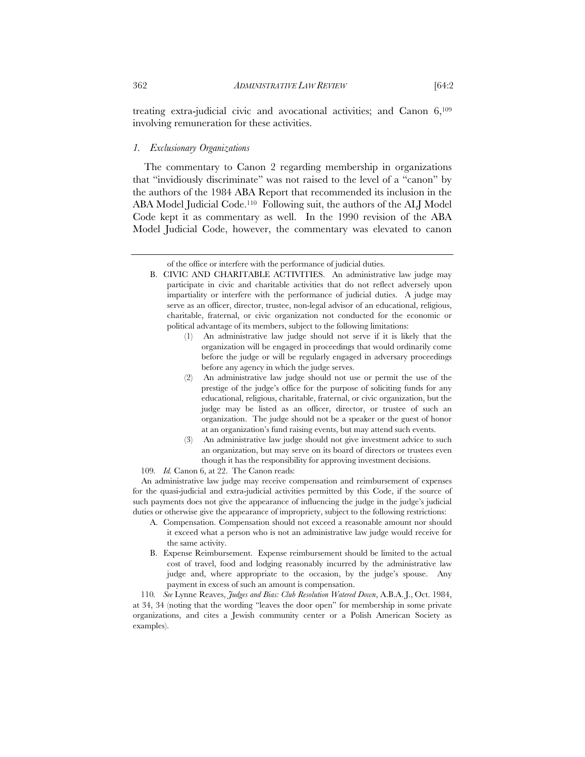treating extra-judicial civic and avocational activities; and Canon 6,109 involving remuneration for these activities.

# *1. Exclusionary Organizations*

The commentary to Canon 2 regarding membership in organizations that "invidiously discriminate" was not raised to the level of a "canon" by the authors of the 1984 ABA Report that recommended its inclusion in the ABA Model Judicial Code.110 Following suit, the authors of the ALJ Model Code kept it as commentary as well. In the 1990 revision of the ABA Model Judicial Code, however, the commentary was elevated to canon

- (1) An administrative law judge should not serve if it is likely that the organization will be engaged in proceedings that would ordinarily come before the judge or will be regularly engaged in adversary proceedings before any agency in which the judge serves.
- An administrative law judge should not use or permit the use of the prestige of the judge's office for the purpose of soliciting funds for any educational, religious, charitable, fraternal, or civic organization, but the judge may be listed as an officer, director, or trustee of such an organization. The judge should not be a speaker or the guest of honor at an organization's fund raising events, but may attend such events.
- (3) An administrative law judge should not give investment advice to such an organization, but may serve on its board of directors or trustees even though it has the responsibility for approving investment decisions.
- 109*. Id.* Canon 6, at 22. The Canon reads:

An administrative law judge may receive compensation and reimbursement of expenses for the quasi-judicial and extra-judicial activities permitted by this Code, if the source of such payments does not give the appearance of influencing the judge in the judge's judicial duties or otherwise give the appearance of impropriety, subject to the following restrictions:

- A. Compensation. Compensation should not exceed a reasonable amount nor should it exceed what a person who is not an administrative law judge would receive for the same activity.
- B. Expense Reimbursement. Expense reimbursement should be limited to the actual cost of travel, food and lodging reasonably incurred by the administrative law judge and, where appropriate to the occasion, by the judge's spouse. Any payment in excess of such an amount is compensation.

110*. See* Lynne Reaves, *Judges and Bias: Club Resolution Watered Down*, A.B.A. J., Oct. 1984, at 34, 34 (noting that the wording "leaves the door open" for membership in some private organizations, and cites a Jewish community center or a Polish American Society as examples).

of the office or interfere with the performance of judicial duties.

B. CIVIC AND CHARITABLE ACTIVITIES. An administrative law judge may participate in civic and charitable activities that do not reflect adversely upon impartiality or interfere with the performance of judicial duties. A judge may serve as an officer, director, trustee, non-legal advisor of an educational, religious, charitable, fraternal, or civic organization not conducted for the economic or political advantage of its members, subject to the following limitations: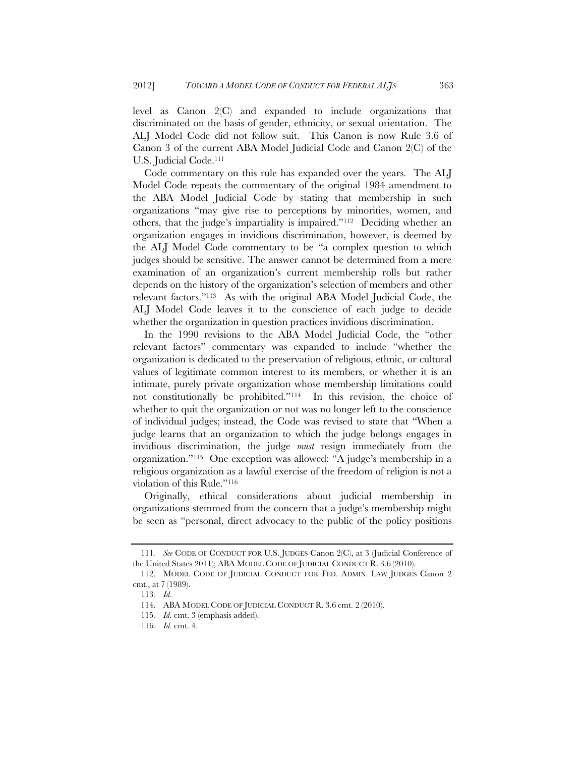level as Canon 2(C) and expanded to include organizations that discriminated on the basis of gender, ethnicity, or sexual orientation. The ALJ Model Code did not follow suit. This Canon is now Rule 3.6 of Canon 3 of the current ABA Model Judicial Code and Canon 2(C) of the U.S. Judicial Code.111

Code commentary on this rule has expanded over the years. The ALJ Model Code repeats the commentary of the original 1984 amendment to the ABA Model Judicial Code by stating that membership in such organizations "may give rise to perceptions by minorities, women, and others, that the judge's impartiality is impaired."112 Deciding whether an organization engages in invidious discrimination, however, is deemed by the ALJ Model Code commentary to be "a complex question to which judges should be sensitive. The answer cannot be determined from a mere examination of an organization's current membership rolls but rather depends on the history of the organization's selection of members and other relevant factors."113 As with the original ABA Model Judicial Code, the ALJ Model Code leaves it to the conscience of each judge to decide whether the organization in question practices invidious discrimination.

In the 1990 revisions to the ABA Model Judicial Code, the "other relevant factors" commentary was expanded to include "whether the organization is dedicated to the preservation of religious, ethnic, or cultural values of legitimate common interest to its members, or whether it is an intimate, purely private organization whose membership limitations could not constitutionally be prohibited."114 In this revision, the choice of whether to quit the organization or not was no longer left to the conscience of individual judges; instead, the Code was revised to state that "When a judge learns that an organization to which the judge belongs engages in invidious discrimination, the judge *must* resign immediately from the organization."115 One exception was allowed: "A judge's membership in a religious organization as a lawful exercise of the freedom of religion is not a violation of this Rule."116

Originally, ethical considerations about judicial membership in organizations stemmed from the concern that a judge's membership might be seen as "personal, direct advocacy to the public of the policy positions

<sup>111</sup>*. See* CODE OF CONDUCT FOR U.S. JUDGES Canon 2(C), at 3 (Judicial Conference of the United States 2011); ABA MODEL CODE OF JUDICIAL CONDUCT R. 3.6 (2010).

 <sup>112.</sup> MODEL CODE OF JUDICIAL CONDUCT FOR FED. ADMIN. LAW JUDGES Canon 2 cmt., at 7 (1989).

<sup>113</sup>*. Id*.

 <sup>114.</sup> ABA MODEL CODE OF JUDICIAL CONDUCT R. 3.6 cmt. 2 (2010).

<sup>115</sup>*. Id.* cmt. 3 (emphasis added).

<sup>116</sup>*. Id.* cmt. 4.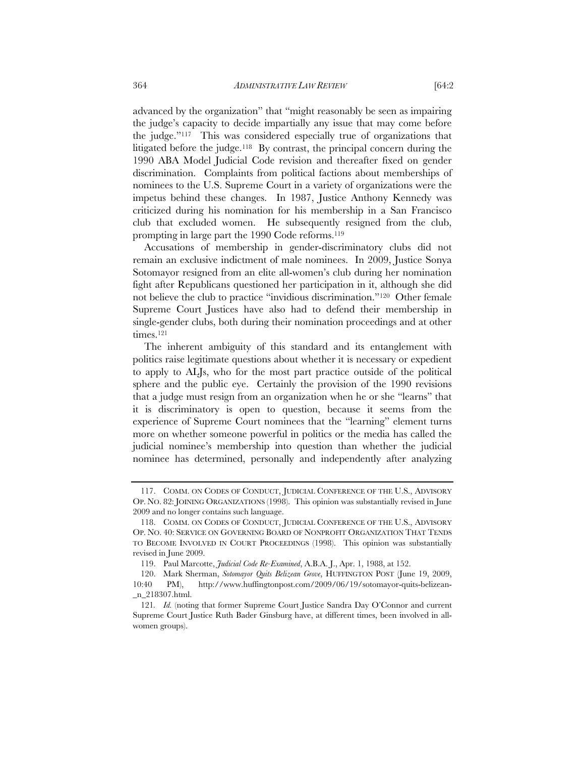advanced by the organization" that "might reasonably be seen as impairing the judge's capacity to decide impartially any issue that may come before the judge."117 This was considered especially true of organizations that litigated before the judge.118 By contrast, the principal concern during the 1990 ABA Model Judicial Code revision and thereafter fixed on gender discrimination. Complaints from political factions about memberships of nominees to the U.S. Supreme Court in a variety of organizations were the

impetus behind these changes. In 1987, Justice Anthony Kennedy was criticized during his nomination for his membership in a San Francisco club that excluded women. He subsequently resigned from the club, prompting in large part the 1990 Code reforms.119 Accusations of membership in gender-discriminatory clubs did not

remain an exclusive indictment of male nominees. In 2009, Justice Sonya Sotomayor resigned from an elite all-women's club during her nomination fight after Republicans questioned her participation in it, although she did not believe the club to practice "invidious discrimination."120 Other female Supreme Court Justices have also had to defend their membership in single-gender clubs, both during their nomination proceedings and at other times.<sup>121</sup>

The inherent ambiguity of this standard and its entanglement with politics raise legitimate questions about whether it is necessary or expedient to apply to ALJs, who for the most part practice outside of the political sphere and the public eye. Certainly the provision of the 1990 revisions that a judge must resign from an organization when he or she "learns" that it is discriminatory is open to question, because it seems from the experience of Supreme Court nominees that the "learning" element turns more on whether someone powerful in politics or the media has called the judicial nominee's membership into question than whether the judicial nominee has determined, personally and independently after analyzing

 <sup>117.</sup> COMM. ON CODES OF CONDUCT, JUDICIAL CONFERENCE OF THE U.S., ADVISORY OP. NO. 82: JOINING ORGANIZATIONS (1998). This opinion was substantially revised in June 2009 and no longer contains such language.

 <sup>118.</sup> COMM. ON CODES OF CONDUCT, JUDICIAL CONFERENCE OF THE U.S., ADVISORY OP. NO. 40: SERVICE ON GOVERNING BOARD OF NONPROFIT ORGANIZATION THAT TENDS TO BECOME INVOLVED IN COURT PROCEEDINGS (1998). This opinion was substantially revised in June 2009.

 <sup>119.</sup> Paul Marcotte, *Judicial Code Re-Examined*, A.B.A. J., Apr. 1, 1988, at 152.

 <sup>120.</sup> Mark Sherman, *Sotomayor Quits Belizean Grove*, HUFFINGTON POST (June 19, 2009, 10:40 PM), http://www.huffingtonpost.com/2009/06/19/sotomayor-quits-belizean- \_n\_218307.html.

<sup>121</sup>*. Id.* (noting that former Supreme Court Justice Sandra Day O'Connor and current Supreme Court Justice Ruth Bader Ginsburg have, at different times, been involved in allwomen groups).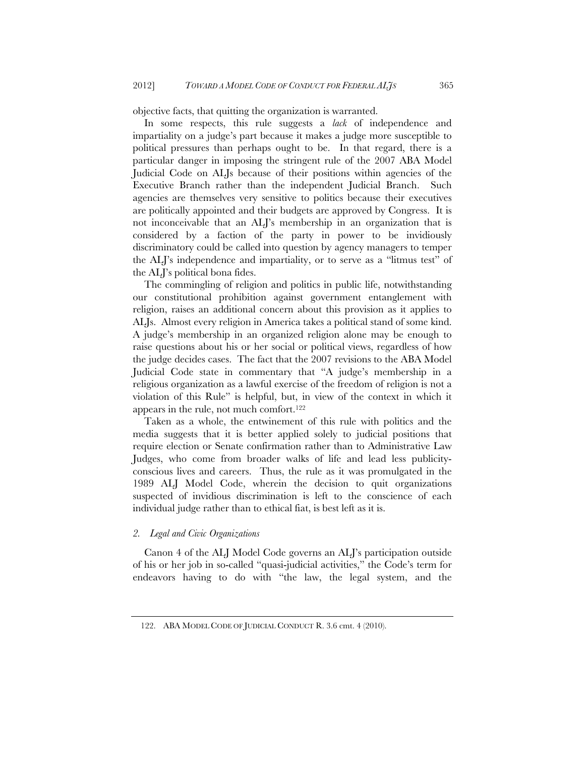objective facts, that quitting the organization is warranted.

In some respects, this rule suggests a *lack* of independence and impartiality on a judge's part because it makes a judge more susceptible to political pressures than perhaps ought to be. In that regard, there is a particular danger in imposing the stringent rule of the 2007 ABA Model Judicial Code on ALJs because of their positions within agencies of the Executive Branch rather than the independent Judicial Branch. Such agencies are themselves very sensitive to politics because their executives are politically appointed and their budgets are approved by Congress. It is not inconceivable that an ALJ's membership in an organization that is considered by a faction of the party in power to be invidiously discriminatory could be called into question by agency managers to temper the ALJ's independence and impartiality, or to serve as a "litmus test" of the ALJ's political bona fides.

The commingling of religion and politics in public life, notwithstanding our constitutional prohibition against government entanglement with religion, raises an additional concern about this provision as it applies to ALJs. Almost every religion in America takes a political stand of some kind. A judge's membership in an organized religion alone may be enough to raise questions about his or her social or political views, regardless of how the judge decides cases. The fact that the 2007 revisions to the ABA Model Judicial Code state in commentary that "A judge's membership in a religious organization as a lawful exercise of the freedom of religion is not a violation of this Rule" is helpful, but, in view of the context in which it appears in the rule, not much comfort.122

Taken as a whole, the entwinement of this rule with politics and the media suggests that it is better applied solely to judicial positions that require election or Senate confirmation rather than to Administrative Law Judges, who come from broader walks of life and lead less publicityconscious lives and careers. Thus, the rule as it was promulgated in the 1989 ALJ Model Code, wherein the decision to quit organizations suspected of invidious discrimination is left to the conscience of each individual judge rather than to ethical fiat, is best left as it is.

## *2. Legal and Civic Organizations*

Canon 4 of the ALJ Model Code governs an ALJ's participation outside of his or her job in so-called "quasi-judicial activities," the Code's term for endeavors having to do with "the law, the legal system, and the

 <sup>122.</sup> ABA MODEL CODE OF JUDICIAL CONDUCT R. 3.6 cmt. 4 (2010).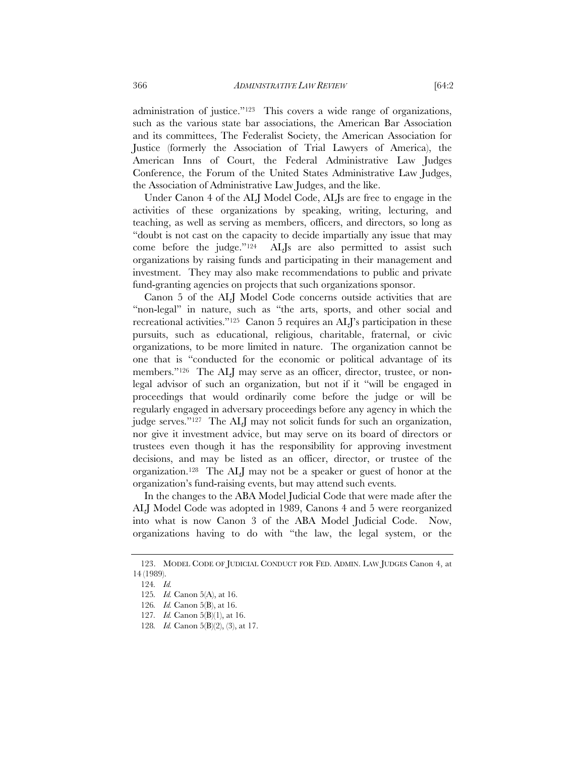administration of justice."123 This covers a wide range of organizations, such as the various state bar associations, the American Bar Association and its committees, The Federalist Society, the American Association for Justice (formerly the Association of Trial Lawyers of America), the American Inns of Court, the Federal Administrative Law Judges Conference, the Forum of the United States Administrative Law Judges, the Association of Administrative Law Judges, and the like.

Under Canon 4 of the ALJ Model Code, ALJs are free to engage in the activities of these organizations by speaking, writing, lecturing, and teaching, as well as serving as members, officers, and directors, so long as "doubt is not cast on the capacity to decide impartially any issue that may come before the judge."124 ALJs are also permitted to assist such organizations by raising funds and participating in their management and investment. They may also make recommendations to public and private fund-granting agencies on projects that such organizations sponsor.

Canon 5 of the ALJ Model Code concerns outside activities that are "non-legal" in nature, such as "the arts, sports, and other social and recreational activities."125 Canon 5 requires an ALJ's participation in these pursuits, such as educational, religious, charitable, fraternal, or civic organizations, to be more limited in nature. The organization cannot be one that is "conducted for the economic or political advantage of its members."126 The ALJ may serve as an officer, director, trustee, or nonlegal advisor of such an organization, but not if it "will be engaged in proceedings that would ordinarily come before the judge or will be regularly engaged in adversary proceedings before any agency in which the judge serves."127 The ALJ may not solicit funds for such an organization, nor give it investment advice, but may serve on its board of directors or trustees even though it has the responsibility for approving investment decisions, and may be listed as an officer, director, or trustee of the organization.128 The ALJ may not be a speaker or guest of honor at the organization's fund-raising events, but may attend such events.

In the changes to the ABA Model Judicial Code that were made after the ALJ Model Code was adopted in 1989, Canons 4 and 5 were reorganized into what is now Canon 3 of the ABA Model Judicial Code. Now, organizations having to do with "the law, the legal system, or the

 <sup>123.</sup> MODEL CODE OF JUDICIAL CONDUCT FOR FED. ADMIN. LAW JUDGES Canon 4, at 14 (1989).

<sup>124</sup>*. Id.*

<sup>125</sup>*. Id.* Canon 5(A), at 16.

<sup>126</sup>*. Id.* Canon 5(B), at 16.

<sup>127</sup>*. Id.* Canon 5(B)(1), at 16.

<sup>128</sup>*. Id.* Canon 5(B)(2), (3), at 17.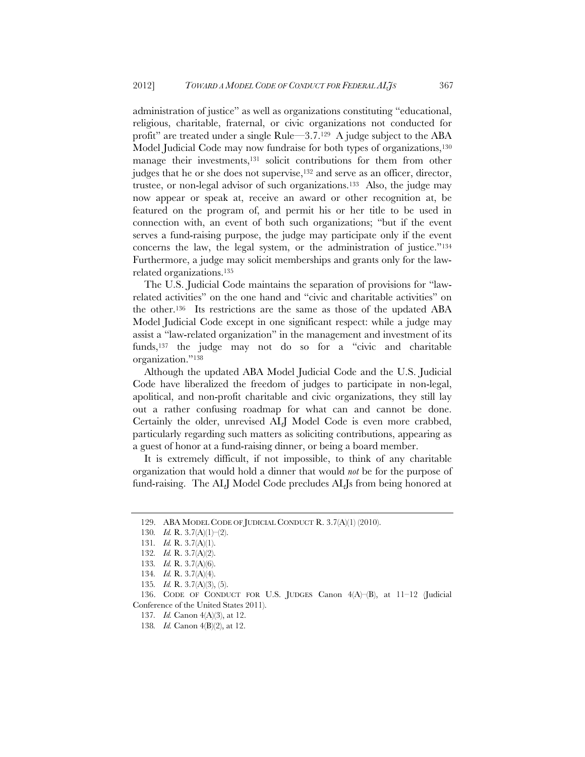administration of justice" as well as organizations constituting "educational, religious, charitable, fraternal, or civic organizations not conducted for profit" are treated under a single Rule—3.7.129 A judge subject to the ABA Model Judicial Code may now fundraise for both types of organizations,<sup>130</sup> manage their investments,<sup>131</sup> solicit contributions for them from other judges that he or she does not supervise,<sup>132</sup> and serve as an officer, director, trustee, or non-legal advisor of such organizations.133 Also, the judge may now appear or speak at, receive an award or other recognition at, be featured on the program of, and permit his or her title to be used in connection with, an event of both such organizations; "but if the event serves a fund-raising purpose, the judge may participate only if the event concerns the law, the legal system, or the administration of justice."134 Furthermore, a judge may solicit memberships and grants only for the lawrelated organizations.135

The U.S. Judicial Code maintains the separation of provisions for "lawrelated activities" on the one hand and "civic and charitable activities" on the other.136 Its restrictions are the same as those of the updated ABA Model Judicial Code except in one significant respect: while a judge may assist a "law-related organization" in the management and investment of its funds,137 the judge may not do so for a "civic and charitable organization."138

Although the updated ABA Model Judicial Code and the U.S. Judicial Code have liberalized the freedom of judges to participate in non-legal, apolitical, and non-profit charitable and civic organizations, they still lay out a rather confusing roadmap for what can and cannot be done. Certainly the older, unrevised ALJ Model Code is even more crabbed, particularly regarding such matters as soliciting contributions, appearing as a guest of honor at a fund-raising dinner, or being a board member.

It is extremely difficult, if not impossible, to think of any charitable organization that would hold a dinner that would *not* be for the purpose of fund-raising. The ALJ Model Code precludes ALJs from being honored at

 <sup>129.</sup> ABA MODEL CODE OF JUDICIAL CONDUCT R. 3.7(A)(1) (2010).

<sup>130</sup>*. Id.* R. 3.7(A)(1)–(2).

<sup>131</sup>*. Id.* R. 3.7(A)(1).

<sup>132</sup>*. Id.* R. 3.7(A)(2).

<sup>133</sup>*. Id.* R. 3.7(A)(6).

<sup>134</sup>*. Id.* R. 3.7(A)(4).

<sup>135</sup>*. Id.* R. 3.7(A)(3), (5).

<sup>136.</sup> CODE OF CONDUCT FOR U.S. JUDGES Canon  $4(A)$ – $(B)$ , at  $11-12$  (Judicial Conference of the United States 2011).

<sup>137</sup>*. Id.* Canon 4(A)(3), at 12.

<sup>138</sup>*. Id.* Canon 4(B)(2), at 12.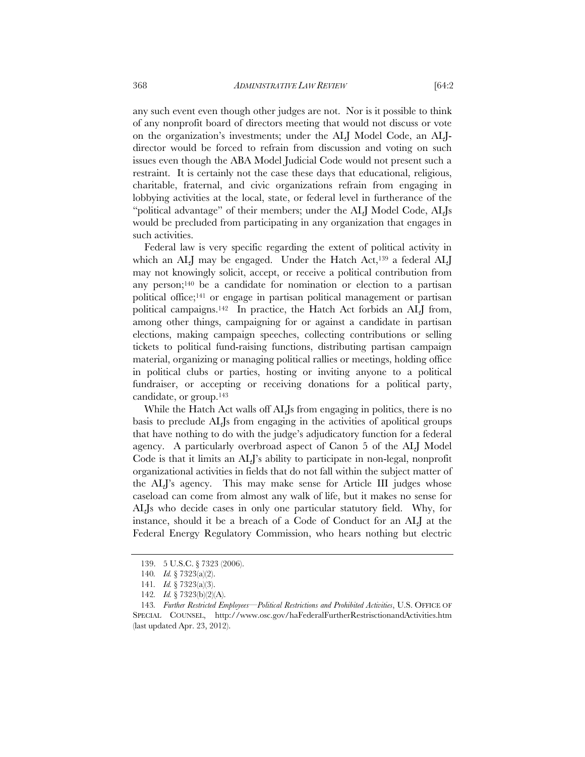any such event even though other judges are not. Nor is it possible to think of any nonprofit board of directors meeting that would not discuss or vote on the organization's investments; under the ALJ Model Code, an ALJdirector would be forced to refrain from discussion and voting on such issues even though the ABA Model Judicial Code would not present such a restraint. It is certainly not the case these days that educational, religious, charitable, fraternal, and civic organizations refrain from engaging in lobbying activities at the local, state, or federal level in furtherance of the "political advantage" of their members; under the ALJ Model Code, ALJs would be precluded from participating in any organization that engages in such activities.

Federal law is very specific regarding the extent of political activity in which an ALJ may be engaged. Under the Hatch Act,<sup>139</sup> a federal ALJ may not knowingly solicit, accept, or receive a political contribution from any person;140 be a candidate for nomination or election to a partisan political office;141 or engage in partisan political management or partisan political campaigns.142 In practice, the Hatch Act forbids an ALJ from, among other things, campaigning for or against a candidate in partisan elections, making campaign speeches, collecting contributions or selling tickets to political fund-raising functions, distributing partisan campaign material, organizing or managing political rallies or meetings, holding office in political clubs or parties, hosting or inviting anyone to a political fundraiser, or accepting or receiving donations for a political party, candidate, or group.143

While the Hatch Act walls off ALJs from engaging in politics, there is no basis to preclude ALJs from engaging in the activities of apolitical groups that have nothing to do with the judge's adjudicatory function for a federal agency. A particularly overbroad aspect of Canon 5 of the ALJ Model Code is that it limits an ALJ's ability to participate in non-legal, nonprofit organizational activities in fields that do not fall within the subject matter of the ALJ's agency. This may make sense for Article III judges whose caseload can come from almost any walk of life, but it makes no sense for ALJs who decide cases in only one particular statutory field. Why, for instance, should it be a breach of a Code of Conduct for an ALJ at the Federal Energy Regulatory Commission, who hears nothing but electric

 <sup>139. 5</sup> U.S.C. § 7323 (2006).

<sup>140</sup>*. Id.* § 7323(a)(2).

<sup>141</sup>*. Id.* § 7323(a)(3).

<sup>142</sup>*. Id.* § 7323(b)(2)(A).

<sup>143</sup>*. Further Restricted Employees—Political Restrictions and Prohibited Activities*, U.S. OFFICE OF SPECIAL COUNSEL, http://www.osc.gov/haFederalFurtherRestrisctionandActivities.htm (last updated Apr. 23, 2012).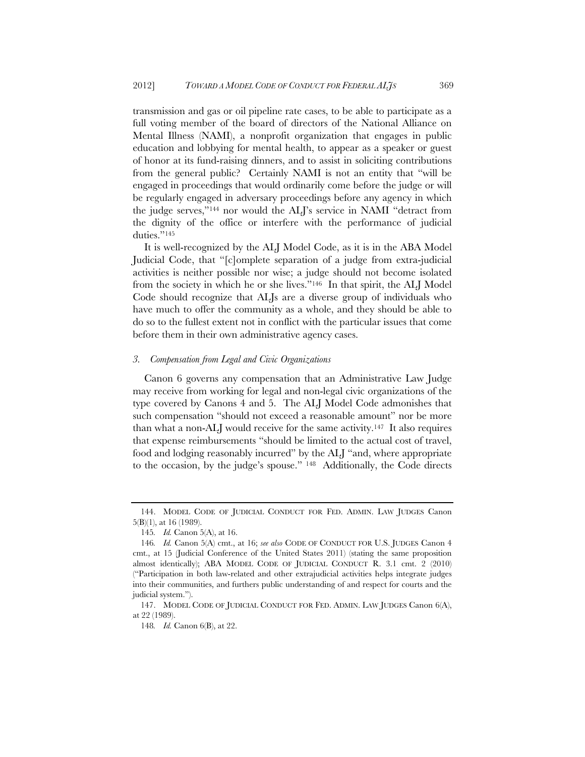transmission and gas or oil pipeline rate cases, to be able to participate as a full voting member of the board of directors of the National Alliance on Mental Illness (NAMI), a nonprofit organization that engages in public education and lobbying for mental health, to appear as a speaker or guest of honor at its fund-raising dinners, and to assist in soliciting contributions from the general public? Certainly NAMI is not an entity that "will be engaged in proceedings that would ordinarily come before the judge or will be regularly engaged in adversary proceedings before any agency in which the judge serves,"144 nor would the ALJ's service in NAMI "detract from the dignity of the office or interfere with the performance of judicial duties."<sup>145</sup>

It is well-recognized by the ALJ Model Code, as it is in the ABA Model Judicial Code, that "[c]omplete separation of a judge from extra-judicial activities is neither possible nor wise; a judge should not become isolated from the society in which he or she lives."146 In that spirit, the ALJ Model Code should recognize that ALJs are a diverse group of individuals who have much to offer the community as a whole, and they should be able to do so to the fullest extent not in conflict with the particular issues that come before them in their own administrative agency cases.

### *3. Compensation from Legal and Civic Organizations*

Canon 6 governs any compensation that an Administrative Law Judge may receive from working for legal and non-legal civic organizations of the type covered by Canons 4 and 5. The ALJ Model Code admonishes that such compensation "should not exceed a reasonable amount" nor be more than what a non-ALJ would receive for the same activity.147 It also requires that expense reimbursements "should be limited to the actual cost of travel, food and lodging reasonably incurred" by the ALJ "and, where appropriate to the occasion, by the judge's spouse." 148 Additionally, the Code directs

 <sup>144.</sup> MODEL CODE OF JUDICIAL CONDUCT FOR FED. ADMIN. LAW JUDGES Canon 5(B)(1), at 16 (1989).

<sup>145</sup>*. Id.* Canon 5(A), at 16.

<sup>146</sup>*. Id.* Canon 5(A) cmt., at 16; *see also* CODE OF CONDUCT FOR U.S. JUDGES Canon 4 cmt., at 15 (Judicial Conference of the United States 2011) (stating the same proposition almost identically); ABA MODEL CODE OF JUDICIAL CONDUCT R. 3.1 cmt. 2 (2010) ("Participation in both law-related and other extrajudicial activities helps integrate judges into their communities, and furthers public understanding of and respect for courts and the judicial system.").

 <sup>147.</sup> MODEL CODE OF JUDICIAL CONDUCT FOR FED. ADMIN. LAW JUDGES Canon 6(A), at 22 (1989).

<sup>148</sup>*. Id.* Canon 6(B), at 22.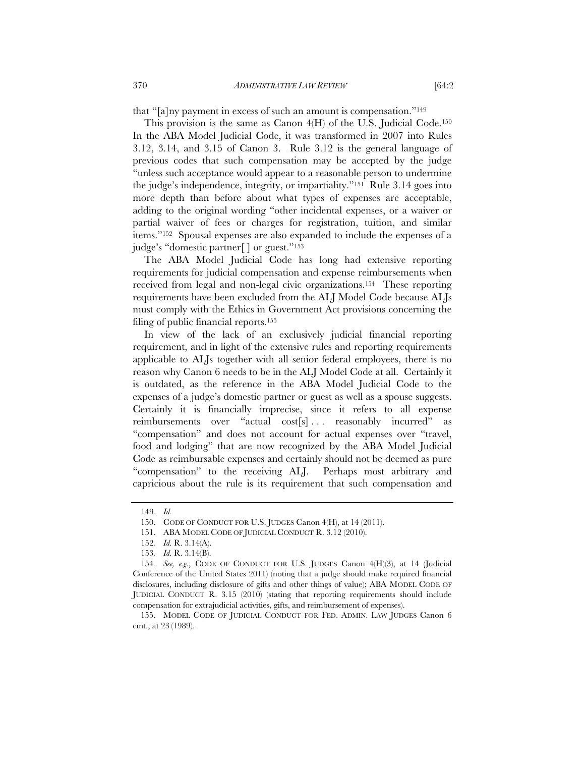that "[a]ny payment in excess of such an amount is compensation."149

This provision is the same as Canon 4(H) of the U.S. Judicial Code.150 In the ABA Model Judicial Code, it was transformed in 2007 into Rules 3.12, 3.14, and 3.15 of Canon 3. Rule 3.12 is the general language of previous codes that such compensation may be accepted by the judge "unless such acceptance would appear to a reasonable person to undermine the judge's independence, integrity, or impartiality."151 Rule 3.14 goes into more depth than before about what types of expenses are acceptable, adding to the original wording "other incidental expenses, or a waiver or partial waiver of fees or charges for registration, tuition, and similar items."152 Spousal expenses are also expanded to include the expenses of a judge's "domestic partner[ ] or guest."153

The ABA Model Judicial Code has long had extensive reporting requirements for judicial compensation and expense reimbursements when received from legal and non-legal civic organizations.154 These reporting requirements have been excluded from the ALJ Model Code because ALJs must comply with the Ethics in Government Act provisions concerning the filing of public financial reports.155

In view of the lack of an exclusively judicial financial reporting requirement, and in light of the extensive rules and reporting requirements applicable to ALJs together with all senior federal employees, there is no reason why Canon 6 needs to be in the ALJ Model Code at all. Certainly it is outdated, as the reference in the ABA Model Judicial Code to the expenses of a judge's domestic partner or guest as well as a spouse suggests. Certainly it is financially imprecise, since it refers to all expense reimbursements over "actual cost[s]... reasonably incurred" as "compensation" and does not account for actual expenses over "travel, food and lodging" that are now recognized by the ABA Model Judicial Code as reimbursable expenses and certainly should not be deemed as pure "compensation" to the receiving ALJ. Perhaps most arbitrary and capricious about the rule is its requirement that such compensation and

<sup>149</sup>*. Id.*

 <sup>150.</sup> CODE OF CONDUCT FOR U.S. JUDGES Canon 4(H), at 14 (2011).

 <sup>151.</sup> ABA MODEL CODE OF JUDICIAL CONDUCT R. 3.12 (2010).

<sup>152</sup>*. Id.* R. 3.14(A).

<sup>153</sup>*. Id.* R. 3.14(B).

<sup>154</sup>*. See, e.g.*, CODE OF CONDUCT FOR U.S. JUDGES Canon 4(H)(3), at 14 (Judicial Conference of the United States 2011) (noting that a judge should make required financial disclosures, including disclosure of gifts and other things of value); ABA MODEL CODE OF JUDICIAL CONDUCT R. 3.15 (2010) (stating that reporting requirements should include compensation for extrajudicial activities, gifts, and reimbursement of expenses).

 <sup>155.</sup> MODEL CODE OF JUDICIAL CONDUCT FOR FED. ADMIN. LAW JUDGES Canon 6 cmt., at 23 (1989).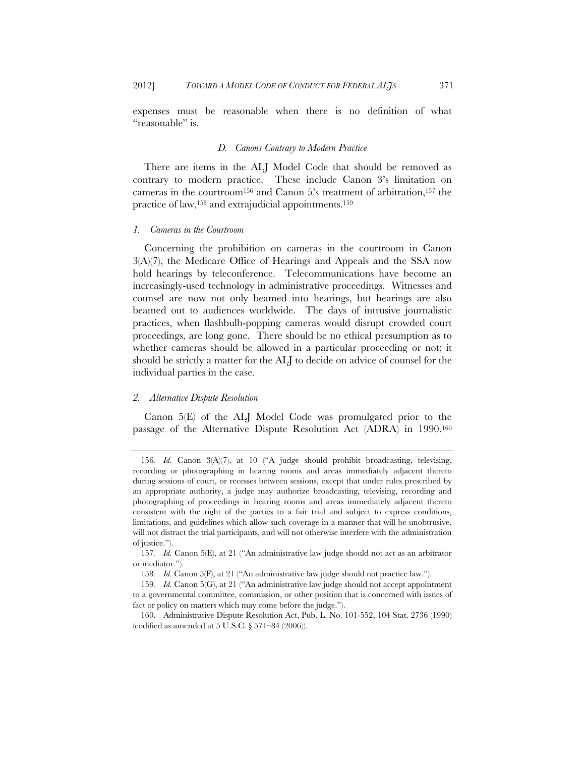expenses must be reasonable when there is no definition of what "reasonable" is.

# *D. Canons Contrary to Modern Practice*

There are items in the ALJ Model Code that should be removed as contrary to modern practice. These include Canon 3's limitation on cameras in the courtroom<sup>156</sup> and Canon 5's treatment of arbitration,<sup>157</sup> the practice of law,<sup>158</sup> and extrajudicial appointments.<sup>159</sup>

### *1. Cameras in the Courtroom*

Concerning the prohibition on cameras in the courtroom in Canon 3(A)(7), the Medicare Office of Hearings and Appeals and the SSA now hold hearings by teleconference. Telecommunications have become an increasingly-used technology in administrative proceedings. Witnesses and counsel are now not only beamed into hearings, but hearings are also beamed out to audiences worldwide. The days of intrusive journalistic practices, when flashbulb-popping cameras would disrupt crowded court proceedings, are long gone. There should be no ethical presumption as to whether cameras should be allowed in a particular proceeding or not; it should be strictly a matter for the ALJ to decide on advice of counsel for the individual parties in the case.

### *2. Alternative Dispute Resolution*

Canon 5(E) of the ALJ Model Code was promulgated prior to the passage of the Alternative Dispute Resolution Act (ADRA) in 1990.160

<sup>156</sup>*. Id.* Canon 3(A)(7), at 10 ("A judge should prohibit broadcasting, televising, recording or photographing in hearing rooms and areas immediately adjacent thereto during sessions of court, or recesses between sessions, except that under rules prescribed by an appropriate authority, a judge may authorize broadcasting, televising, recording and photographing of proceedings in hearing rooms and areas immediately adjacent thereto consistent with the right of the parties to a fair trial and subject to express conditions, limitations, and guidelines which allow such coverage in a manner that will be unobtrusive, will not distract the trial participants, and will not otherwise interfere with the administration of justice.").

<sup>157</sup>*. Id.* Canon 5(E), at 21 ("An administrative law judge should not act as an arbitrator or mediator.").

<sup>158</sup>*. Id.* Canon 5(F), at 21 ("An administrative law judge should not practice law.").

<sup>159</sup>*. Id.* Canon 5(G), at 21 ("An administrative law judge should not accept appointment to a governmental committee, commission, or other position that is concerned with issues of fact or policy on matters which may come before the judge.").

 <sup>160.</sup> Administrative Dispute Resolution Act, Pub. L. No. 101-552, 104 Stat. 2736 (1990) (codified as amended at 5 U.S.C. § 571–84 (2006)).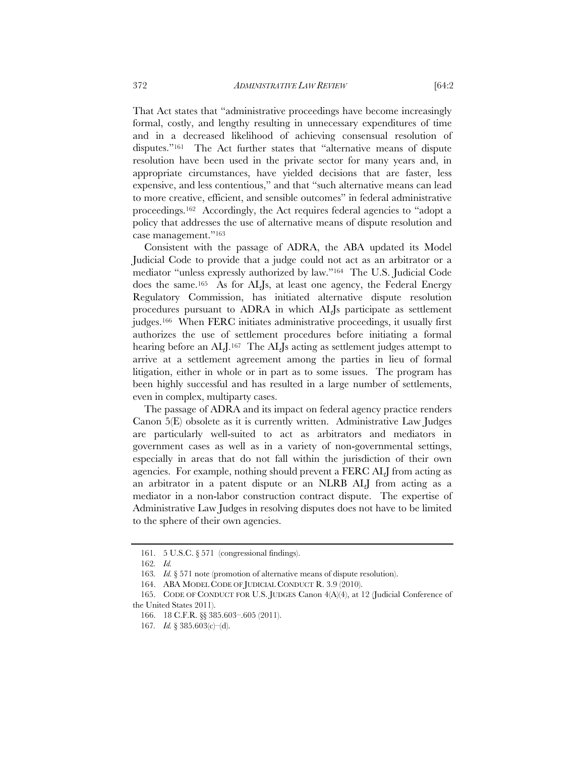That Act states that "administrative proceedings have become increasingly formal, costly, and lengthy resulting in unnecessary expenditures of time and in a decreased likelihood of achieving consensual resolution of disputes."161 The Act further states that "alternative means of dispute resolution have been used in the private sector for many years and, in appropriate circumstances, have yielded decisions that are faster, less

expensive, and less contentious," and that "such alternative means can lead to more creative, efficient, and sensible outcomes" in federal administrative proceedings.162 Accordingly, the Act requires federal agencies to "adopt a policy that addresses the use of alternative means of dispute resolution and case management."163

Consistent with the passage of ADRA, the ABA updated its Model Judicial Code to provide that a judge could not act as an arbitrator or a mediator "unless expressly authorized by law."164 The U.S. Judicial Code does the same.165 As for ALJs, at least one agency, the Federal Energy Regulatory Commission, has initiated alternative dispute resolution procedures pursuant to ADRA in which ALJs participate as settlement judges.<sup>166</sup> When FERC initiates administrative proceedings, it usually first authorizes the use of settlement procedures before initiating a formal hearing before an ALJ.<sup>167</sup> The ALJs acting as settlement judges attempt to arrive at a settlement agreement among the parties in lieu of formal litigation, either in whole or in part as to some issues. The program has been highly successful and has resulted in a large number of settlements, even in complex, multiparty cases.

The passage of ADRA and its impact on federal agency practice renders Canon 5(E) obsolete as it is currently written. Administrative Law Judges are particularly well-suited to act as arbitrators and mediators in government cases as well as in a variety of non-governmental settings, especially in areas that do not fall within the jurisdiction of their own agencies. For example, nothing should prevent a FERC ALJ from acting as an arbitrator in a patent dispute or an NLRB ALJ from acting as a mediator in a non-labor construction contract dispute. The expertise of Administrative Law Judges in resolving disputes does not have to be limited to the sphere of their own agencies.

 <sup>161. 5</sup> U.S.C. § 571 (congressional findings).

<sup>162</sup>*. Id.*

<sup>163</sup>*. Id.* § 571 note (promotion of alternative means of dispute resolution).

 <sup>164.</sup> ABA MODEL CODE OF JUDICIAL CONDUCT R. 3.9 (2010).

 <sup>165.</sup> CODE OF CONDUCT FOR U.S. JUDGES Canon 4(A)(4), at 12 (Judicial Conference of the United States 2011).

 <sup>166. 18</sup> C.F.R. §§ 385.603–.605 (2011).

<sup>167</sup>*. Id.* § 385.603(c)–(d).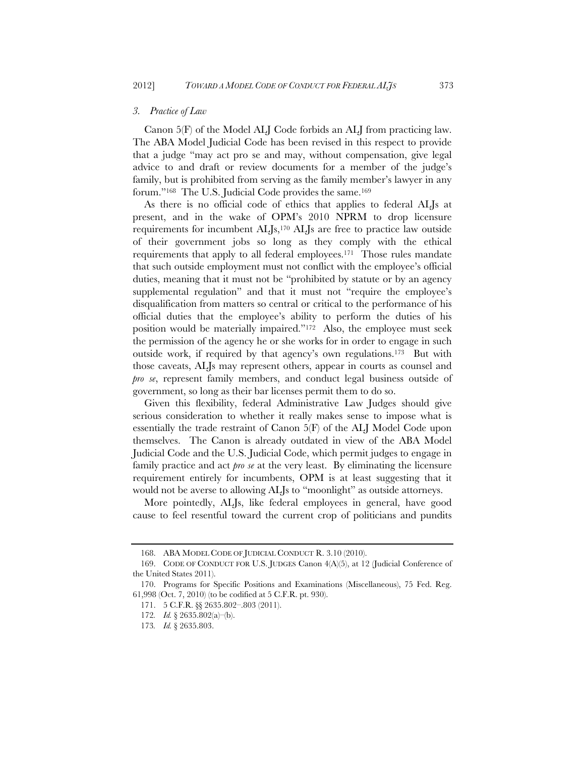### *3. Practice of Law*

Canon 5(F) of the Model ALJ Code forbids an ALJ from practicing law. The ABA Model Judicial Code has been revised in this respect to provide that a judge "may act pro se and may, without compensation, give legal advice to and draft or review documents for a member of the judge's family, but is prohibited from serving as the family member's lawyer in any forum."<sup>168</sup> The U.S. Judicial Code provides the same.<sup>169</sup>

As there is no official code of ethics that applies to federal ALJs at present, and in the wake of OPM's 2010 NPRM to drop licensure requirements for incumbent  $ALIs$ ,<sup>170</sup>  $ALIs$  are free to practice law outside of their government jobs so long as they comply with the ethical requirements that apply to all federal employees.171 Those rules mandate that such outside employment must not conflict with the employee's official duties, meaning that it must not be "prohibited by statute or by an agency supplemental regulation" and that it must not "require the employee's disqualification from matters so central or critical to the performance of his official duties that the employee's ability to perform the duties of his position would be materially impaired."172 Also, the employee must seek the permission of the agency he or she works for in order to engage in such outside work, if required by that agency's own regulations.173 But with those caveats, ALJs may represent others, appear in courts as counsel and *pro se*, represent family members, and conduct legal business outside of government, so long as their bar licenses permit them to do so.

Given this flexibility, federal Administrative Law Judges should give serious consideration to whether it really makes sense to impose what is essentially the trade restraint of Canon 5(F) of the ALJ Model Code upon themselves. The Canon is already outdated in view of the ABA Model Judicial Code and the U.S. Judicial Code, which permit judges to engage in family practice and act *pro se* at the very least. By eliminating the licensure requirement entirely for incumbents, OPM is at least suggesting that it would not be averse to allowing ALJs to "moonlight" as outside attorneys.

More pointedly, ALJs, like federal employees in general, have good cause to feel resentful toward the current crop of politicians and pundits

 <sup>168.</sup> ABA MODEL CODE OF JUDICIAL CONDUCT R. 3.10 (2010).

 <sup>169.</sup> CODE OF CONDUCT FOR U.S. JUDGES Canon 4(A)(5), at 12 (Judicial Conference of the United States 2011).

 <sup>170.</sup> Programs for Specific Positions and Examinations (Miscellaneous), 75 Fed. Reg. 61,998 (Oct. 7, 2010) (to be codified at 5 C.F.R. pt. 930).

 <sup>171. 5</sup> C.F.R. §§ 2635.802–.803 (2011).

<sup>172</sup>*. Id.* § 2635.802(a)–(b).

<sup>173</sup>*. Id.* § 2635.803.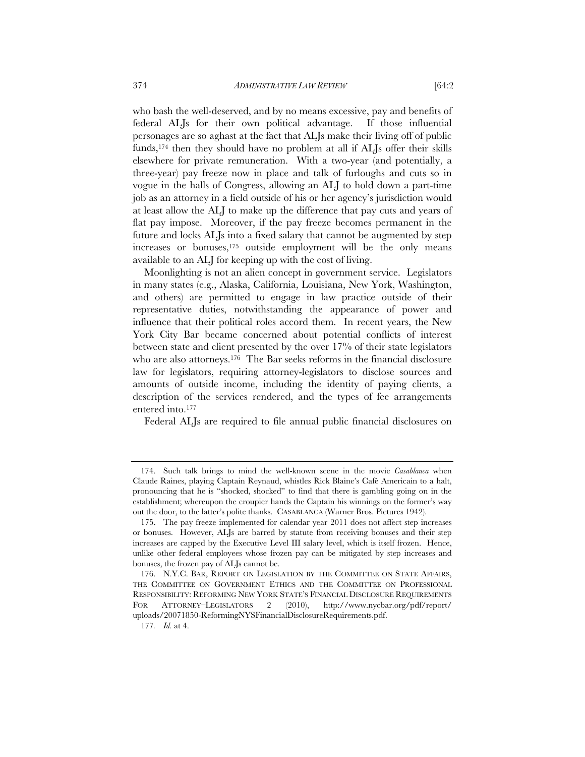who bash the well-deserved, and by no means excessive, pay and benefits of federal ALJs for their own political advantage. If those influential personages are so aghast at the fact that ALJs make their living off of public funds,174 then they should have no problem at all if ALJs offer their skills elsewhere for private remuneration. With a two-year (and potentially, a three-year) pay freeze now in place and talk of furloughs and cuts so in vogue in the halls of Congress, allowing an ALJ to hold down a part-time job as an attorney in a field outside of his or her agency's jurisdiction would at least allow the ALJ to make up the difference that pay cuts and years of flat pay impose. Moreover, if the pay freeze becomes permanent in the future and locks ALJs into a fixed salary that cannot be augmented by step increases or bonuses,175 outside employment will be the only means available to an ALJ for keeping up with the cost of living.

Moonlighting is not an alien concept in government service. Legislators in many states (e.g., Alaska, California, Louisiana, New York, Washington, and others) are permitted to engage in law practice outside of their representative duties, notwithstanding the appearance of power and influence that their political roles accord them. In recent years, the New York City Bar became concerned about potential conflicts of interest between state and client presented by the over 17% of their state legislators who are also attorneys.<sup>176</sup> The Bar seeks reforms in the financial disclosure law for legislators, requiring attorney-legislators to disclose sources and amounts of outside income, including the identity of paying clients, a description of the services rendered, and the types of fee arrangements entered into.177

Federal ALJs are required to file annual public financial disclosures on

 <sup>174.</sup> Such talk brings to mind the well-known scene in the movie *Casablanca* when Claude Raines, playing Captain Reynaud, whistles Rick Blaine's Café Americain to a halt, pronouncing that he is "shocked, shocked" to find that there is gambling going on in the establishment; whereupon the croupier hands the Captain his winnings on the former's way out the door, to the latter's polite thanks. CASABLANCA (Warner Bros. Pictures 1942).

 <sup>175.</sup> The pay freeze implemented for calendar year 2011 does not affect step increases or bonuses. However, ALJs are barred by statute from receiving bonuses and their step increases are capped by the Executive Level III salary level, which is itself frozen. Hence, unlike other federal employees whose frozen pay can be mitigated by step increases and bonuses, the frozen pay of ALJs cannot be.

 <sup>176.</sup> N.Y.C. BAR, REPORT ON LEGISLATION BY THE COMMITTEE ON STATE AFFAIRS, THE COMMITTEE ON GOVERNMENT ETHICS AND THE COMMITTEE ON PROFESSIONAL RESPONSIBILITY: REFORMING NEW YORK STATE'S FINANCIAL DISCLOSURE REQUIREMENTS FOR ATTORNEY–LEGISLATORS 2 (2010), http://www.nycbar.org/pdf/report/ uploads/20071850-ReformingNYSFinancialDisclosureRequirements.pdf.

<sup>177</sup>*. Id.* at 4.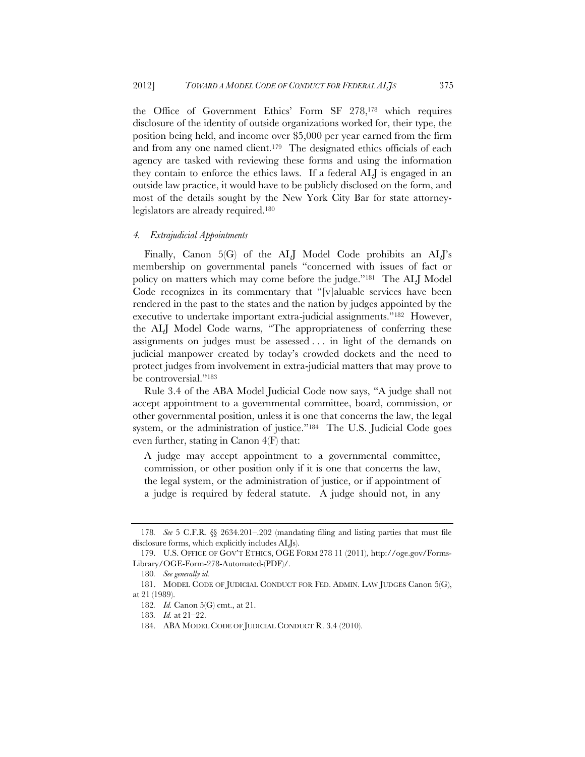the Office of Government Ethics' Form SF 278,178 which requires disclosure of the identity of outside organizations worked for, their type, the position being held, and income over \$5,000 per year earned from the firm and from any one named client.179 The designated ethics officials of each agency are tasked with reviewing these forms and using the information they contain to enforce the ethics laws. If a federal ALJ is engaged in an outside law practice, it would have to be publicly disclosed on the form, and most of the details sought by the New York City Bar for state attorneylegislators are already required.180

#### *4. Extrajudicial Appointments*

Finally, Canon 5(G) of the ALI Model Code prohibits an ALI's membership on governmental panels "concerned with issues of fact or policy on matters which may come before the judge."181 The ALJ Model Code recognizes in its commentary that "[v]aluable services have been rendered in the past to the states and the nation by judges appointed by the executive to undertake important extra-judicial assignments."182 However, the ALJ Model Code warns, "The appropriateness of conferring these assignments on judges must be assessed . . . in light of the demands on judicial manpower created by today's crowded dockets and the need to protect judges from involvement in extra-judicial matters that may prove to be controversial."183

Rule 3.4 of the ABA Model Judicial Code now says, "A judge shall not accept appointment to a governmental committee, board, commission, or other governmental position, unless it is one that concerns the law, the legal system, or the administration of justice."184 The U.S. Judicial Code goes even further, stating in Canon 4(F) that:

A judge may accept appointment to a governmental committee, commission, or other position only if it is one that concerns the law, the legal system, or the administration of justice, or if appointment of a judge is required by federal statute. A judge should not, in any

<sup>178</sup>*. See* 5 C.F.R. §§ 2634.201–.202 (mandating filing and listing parties that must file disclosure forms, which explicitly includes ALJs).

 <sup>179.</sup> U.S. OFFICE OF GOV'T ETHICS, OGE FORM 278 11 (2011), http://oge.gov/Forms-Library/OGE-Form-278-Automated-(PDF)/.

<sup>180</sup>*. See generally id.*

 <sup>181.</sup> MODEL CODE OF JUDICIAL CONDUCT FOR FED. ADMIN. LAW JUDGES Canon 5(G), at 21 (1989).

<sup>182</sup>*. Id.* Canon 5(G) cmt., at 21.

<sup>183</sup>*. Id.* at 21–22.

 <sup>184.</sup> ABA MODEL CODE OF JUDICIAL CONDUCT R. 3.4 (2010).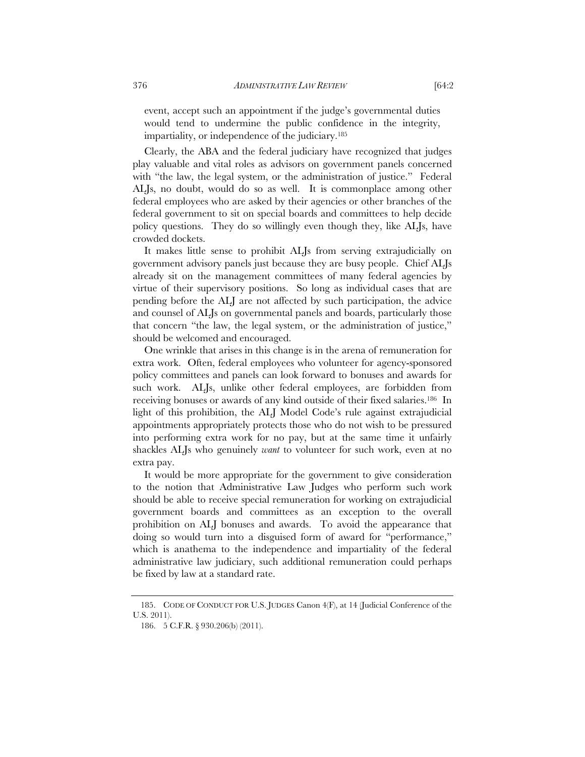event, accept such an appointment if the judge's governmental duties would tend to undermine the public confidence in the integrity, impartiality, or independence of the judiciary.185

Clearly, the ABA and the federal judiciary have recognized that judges play valuable and vital roles as advisors on government panels concerned with "the law, the legal system, or the administration of justice." Federal ALJs, no doubt, would do so as well. It is commonplace among other federal employees who are asked by their agencies or other branches of the federal government to sit on special boards and committees to help decide policy questions. They do so willingly even though they, like ALJs, have crowded dockets.

It makes little sense to prohibit ALJs from serving extrajudicially on government advisory panels just because they are busy people. Chief ALJs already sit on the management committees of many federal agencies by virtue of their supervisory positions. So long as individual cases that are pending before the ALJ are not affected by such participation, the advice and counsel of ALJs on governmental panels and boards, particularly those that concern "the law, the legal system, or the administration of justice," should be welcomed and encouraged.

One wrinkle that arises in this change is in the arena of remuneration for extra work. Often, federal employees who volunteer for agency-sponsored policy committees and panels can look forward to bonuses and awards for such work. ALJs, unlike other federal employees, are forbidden from receiving bonuses or awards of any kind outside of their fixed salaries.186 In light of this prohibition, the ALJ Model Code's rule against extrajudicial appointments appropriately protects those who do not wish to be pressured into performing extra work for no pay, but at the same time it unfairly shackles ALJs who genuinely *want* to volunteer for such work, even at no extra pay.

It would be more appropriate for the government to give consideration to the notion that Administrative Law Judges who perform such work should be able to receive special remuneration for working on extrajudicial government boards and committees as an exception to the overall prohibition on ALJ bonuses and awards. To avoid the appearance that doing so would turn into a disguised form of award for "performance," which is anathema to the independence and impartiality of the federal administrative law judiciary, such additional remuneration could perhaps be fixed by law at a standard rate.

 <sup>185.</sup> CODE OF CONDUCT FOR U.S. JUDGES Canon 4(F), at 14 (Judicial Conference of the U.S. 2011).

 <sup>186. 5</sup> C.F.R. § 930.206(b) (2011).